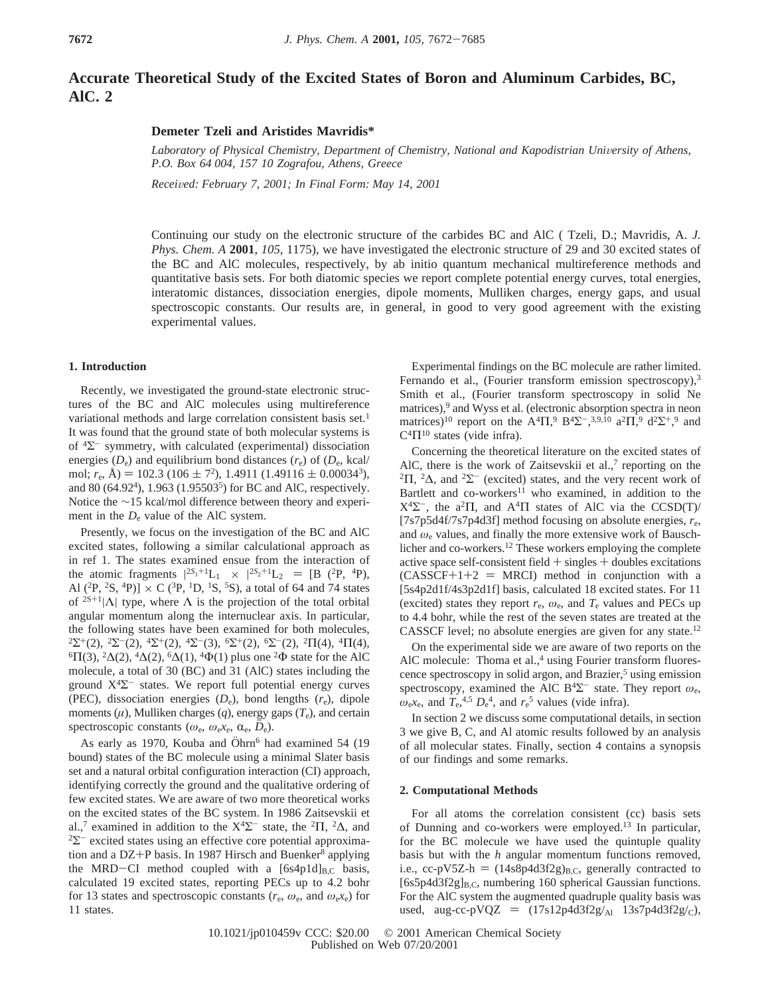# **Accurate Theoretical Study of the Excited States of Boron and Aluminum Carbides, BC, AlC. 2**

### **Demeter Tzeli and Aristides Mavridis\***

Laboratory of Physical Chemistry, Department of Chemistry, National and Kapodistrian University of Athens, *P.O. Box 64 004, 157 10 Zografou, Athens, Greece*

*Recei*V*ed: February 7, 2001; In Final Form: May 14, 2001*

Continuing our study on the electronic structure of the carbides BC and AlC ( Tzeli, D.; Mavridis, A. *J. Phys. Chem. A* **2001**, *105*, 1175), we have investigated the electronic structure of 29 and 30 excited states of the BC and AlC molecules, respectively, by ab initio quantum mechanical multireference methods and quantitative basis sets. For both diatomic species we report complete potential energy curves, total energies, interatomic distances, dissociation energies, dipole moments, Mulliken charges, energy gaps, and usual spectroscopic constants. Our results are, in general, in good to very good agreement with the existing experimental values.

### **1. Introduction**

Recently, we investigated the ground-state electronic structures of the BC and AlC molecules using multireference variational methods and large correlation consistent basis set.<sup>1</sup> It was found that the ground state of both molecular systems is of  ${}^{4}\Sigma^{-}$  symmetry, with calculated (experimental) dissociation energies  $(D_e)$  and equilibrium bond distances  $(r_e)$  of  $(D_e, \text{kcal})$ mol;  $r_e$ , Å) = 102.3 (106  $\pm$  7<sup>2</sup>), 1.4911 (1.49116  $\pm$  0.00034<sup>3</sup>), and 80 (64.92<sup>4</sup>), 1.963 (1.95503<sup>5</sup>) for BC and AlC, respectively. Notice the ∼15 kcal/mol difference between theory and experiment in the  $D_e$  value of the AlC system.

Presently, we focus on the investigation of the BC and AlC excited states, following a similar calculational approach as in ref 1. The states examined ensue from the interaction of the atomic fragments  $|{}^{2S_1+1}L_1\rangle \times |{}^{2S_2+1}L_2\rangle = [B ({}^{2}P, {}^{4}P),$ <br>Al  ${}^{2}P {}^{2}S {}^{4}P)$  $1 \times C ({}^{3}P {}^{1}D {}^{1}S {}^{5}S)$  a total of 64 and 74 states Al  $(^{2}P, ^{2}S, ^{4}P)$ ]  $\times$  C  $(^{3}P, ^{1}D, ^{1}S, ^{5}S)$ , a total of 64 and 74 states of <sup>2S+1</sup>| $\Lambda$ | type, where  $\Lambda$  is the projection of the total orbital angular momentum along the internuclear axis. In particular, the following states have been examined for both molecules,  ${}^{2}\Sigma^{+}(2), {}^{2}\Sigma^{-}(2), {}^{4}\Sigma^{+}(2), {}^{4}\Sigma^{-}(3), {}^{6}\Sigma^{+}(2), {}^{6}\Sigma^{-}(2), {}^{2}\Pi(4), {}^{4}\Pi(4),$  ${}^{6}\Pi(3), {}^{2}\Delta(2), {}^{4}\Delta(2), {}^{6}\Delta(1), {}^{4}\Phi(1)$  plus one  ${}^{2}\Phi$  state for the AlC molecule, a total of 30 (BC) and 31 (AlC) states including the ground  $X<sup>4</sup>\Sigma$ <sup>-</sup> states. We report full potential energy curves (PEC), dissociation energies  $(D_e)$ , bond lengths  $(r_e)$ , dipole moments  $(\mu)$ , Mulliken charges  $(q)$ , energy gaps  $(T_e)$ , and certain spectroscopic constants ( $\omega_e$ ,  $\omega_e x_e$ ,  $\alpha_e$ ,  $D_e$ ).

As early as 1970, Kouba and  $\ddot{O}$ hrn<sup>6</sup> had examined 54 (19) bound) states of the BC molecule using a minimal Slater basis set and a natural orbital configuration interaction (CI) approach, identifying correctly the ground and the qualitative ordering of few excited states. We are aware of two more theoretical works on the excited states of the BC system. In 1986 Zaitsevskii et al.,<sup>7</sup> examined in addition to the X<sup>4</sup>Σ<sup>-</sup> state, the <sup>2</sup>Π, <sup>2</sup>Δ, and <sup>2</sup>Σ<sup>-</sup> excited states using an effective core potential approximation and a DZ+P basis. In 1987 Hirsch and Buenker<sup>8</sup> applying the MRD-CI method coupled with a  $[6s4p1d]_{B,C}$  basis, calculated 19 excited states, reporting PECs up to 4.2 bohr for 13 states and spectroscopic constants ( $r_e$ ,  $\omega_e$ , and  $\omega_e x_e$ ) for 11 states.

Experimental findings on the BC molecule are rather limited. Fernando et al., (Fourier transform emission spectroscopy),<sup>3</sup> Smith et al., (Fourier transform spectroscopy in solid Ne matrices),<sup>9</sup> and Wyss et al. (electronic absorption spectra in neon matrices)<sup>10</sup> report on the A<sup>4</sup> $\Pi$ ,<sup>9</sup> B<sup>4</sup> $\Sigma$ <sup>-</sup>,<sup>3,9,10</sup> a<sup>2</sup> $\Pi$ ,<sup>9</sup> d<sup>2</sup> $\Sigma$ <sup>+</sup>,<sup>9</sup> and  $C^4\Pi^{10}$  states (vide infra).

Concerning the theoretical literature on the excited states of AlC, there is the work of Zaitsevskii et al., $7$  reporting on the <sup>2</sup>Π, <sup>2</sup>Δ, and <sup>2</sup>Σ<sup>-</sup> (excited) states, and the very recent work of Bartlett and co-workers<sup>11</sup> who examined, in addition to the  $X^4\Sigma^-$ , the a<sup>2</sup>Π, and A<sup>4</sup>Π states of AlC via the CCSD(T)/ [7s7p5d4f/7s7p4d3f] method focusing on absolute energies,  $r_{\rm e}$ , and  $\omega_e$  values, and finally the more extensive work of Bauschlicher and co-workers.12 These workers employing the complete active space self-consistent field  $+$  singles  $+$  doubles excitations  $(CASSCF+1+2 = MRCI)$  method in conjunction with a [5s4p2d1f/4s3p2d1f] basis, calculated 18 excited states. For 11 (excited) states they report  $r_e$ ,  $\omega_e$ , and  $T_e$  values and PECs up to 4.4 bohr, while the rest of the seven states are treated at the CASSCF level; no absolute energies are given for any state.12

On the experimental side we are aware of two reports on the AlC molecule: Thoma et al.,<sup>4</sup> using Fourier transform fluorescence spectroscopy in solid argon, and Brazier,<sup>5</sup> using emission spectroscopy, examined the AlC B<sup>4</sup> $\Sigma^-$  state. They report  $\omega_e$ ,  $\omega$ <sub>e</sub>x<sub>e</sub>, and  $T_e$ <sup>4,5</sup>  $D_e$ <sup>4</sup>, and  $r_e$ <sup>5</sup> values (vide infra).

In section 2 we discuss some computational details, in section 3 we give B, C, and Al atomic results followed by an analysis of all molecular states. Finally, section 4 contains a synopsis of our findings and some remarks.

#### **2. Computational Methods**

For all atoms the correlation consistent (cc) basis sets of Dunning and co-workers were employed.13 In particular, for the BC molecule we have used the quintuple quality basis but with the *h* angular momentum functions removed, i.e., cc-pV5Z-h =  $(14s8p4d3f2g)_{B.C.}$  generally contracted to  $[6s5p4d3f2g]_{B,C}$ , numbering 160 spherical Gaussian functions. For the AlC system the augmented quadruple quality basis was used, aug-cc-pVQZ =  $(17s12p4d3f2g/A1 13s7p4d3f2g/c)$ ,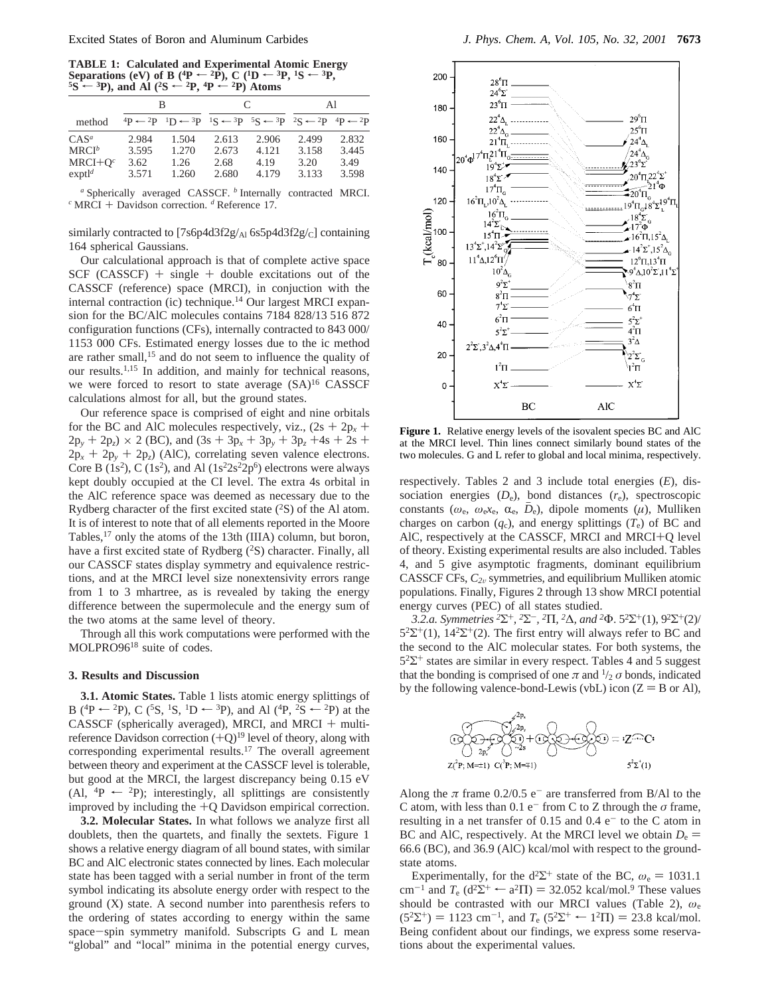**TABLE 1:** Calculated and Experimental Atomic Energy Separations (eV) of B (<sup>4</sup>P <sup> $\leftarrow$ </sup> <sup>2</sup>P), C (<sup>1</sup>D  $\leftarrow$  <sup>3</sup>P,<sup>1</sup>S  $\leftarrow$  <sup>3</sup>P,<sup>5</sup>S  $\leftarrow$  <sup>3P</sup>), and Al (<sup>2</sup>S  $\leftarrow$  <sup>2</sup>P,<sup>4</sup>P  $\leftarrow$  <sup>2</sup>P) Atoms

|                                               |                                 | в                                                                                                                                                                   |                                 | C                               | Al                              |                                 |  |  |
|-----------------------------------------------|---------------------------------|---------------------------------------------------------------------------------------------------------------------------------------------------------------------|---------------------------------|---------------------------------|---------------------------------|---------------------------------|--|--|
| method                                        |                                 | ${}^{4}P \leftarrow {}^{2}P {}^{1}D \leftarrow {}^{3}P {}^{1}S \leftarrow {}^{3}P {}^{5}S \leftarrow {}^{3}P {}^{2}S \leftarrow {}^{2}P {}^{4}P \leftarrow {}^{2}P$ |                                 |                                 |                                 |                                 |  |  |
| $CAS^a$<br>$MRCI^b$<br>$MRCI+Oc$<br>$exptl^d$ | 2.984<br>3.595<br>3.62<br>3.571 | 1.504<br>1.270<br>1.26<br>1.260                                                                                                                                     | 2.613<br>2.673<br>2.68<br>2.680 | 2.906<br>4.121<br>4.19<br>4.179 | 2.499<br>3.158<br>3.20<br>3.133 | 2.832<br>3.445<br>3.49<br>3.598 |  |  |

*<sup>a</sup>* Spherically averaged CASSCF. *<sup>b</sup>* Internally contracted MRCI. *<sup>c</sup>* MRCI + Davidson correction. *<sup>d</sup>* Reference 17.

similarly contracted to  $[7s6p4d3f2g/a16s5p4d3f2g/c]$  containing 164 spherical Gaussians.

Our calculational approach is that of complete active space  $SCF (CASSCF)$  + single + double excitations out of the CASSCF (reference) space (MRCI), in conjuction with the internal contraction (ic) technique.<sup>14</sup> Our largest MRCI expansion for the BC/AlC molecules contains 7184 828/13 516 872 configuration functions (CFs), internally contracted to 843 000/ 1153 000 CFs. Estimated energy losses due to the ic method are rather small,<sup>15</sup> and do not seem to influence the quality of our results.1,15 In addition, and mainly for technical reasons, we were forced to resort to state average  $(SA)^{16}$  CASSCF calculations almost for all, but the ground states.

Our reference space is comprised of eight and nine orbitals for the BC and AlC molecules respectively, viz.,  $(2s + 2p_x + p_y)$  $2p_y + 2p_z \ge 2$  (BC), and  $(3s + 3p_x + 3p_y + 3p_z + 4s + 2s + 1)$  $2p_x + 2p_y + 2p_z$  (AlC), correlating seven valence electrons. Core B (1s<sup>2</sup>), C (1s<sup>2</sup>), and Al (1s<sup>2</sup>2s<sup>2</sup>2p<sup>6</sup>) electrons were always kept doubly occupied at the CI level. The extra 4s orbital in the AlC reference space was deemed as necessary due to the Rydberg character of the first excited state  $(^{2}S)$  of the Al atom. It is of interest to note that of all elements reported in the Moore Tables,<sup>17</sup> only the atoms of the 13th (IIIA) column, but boron, have a first excited state of Rydberg  $(^{2}S)$  character. Finally, all our CASSCF states display symmetry and equivalence restrictions, and at the MRCI level size nonextensivity errors range from 1 to 3 mhartree, as is revealed by taking the energy difference between the supermolecule and the energy sum of the two atoms at the same level of theory.

Through all this work computations were performed with the MOLPRO9618 suite of codes.

#### **3. Results and Discussion**

**3.1. Atomic States.** Table 1 lists atomic energy splittings of B (<sup>4</sup>P  $\leftarrow$  <sup>2</sup>P), C (<sup>5</sup>S, <sup>1</sup>S, <sup>1</sup>D  $\leftarrow$  <sup>3</sup>P), and Al (<sup>4</sup>P, <sup>2</sup>S  $\leftarrow$  <sup>2</sup>P) at the CASSCF (spherically averaged), MRCI, and MRCI + multireference Davidson correction  $(+Q)^{19}$  level of theory, along with corresponding experimental results.<sup>17</sup> The overall agreement between theory and experiment at the CASSCF level is tolerable, but good at the MRCI, the largest discrepancy being 0.15 eV (Al,  ${}^4P \leftarrow {}^2P$ ); interestingly, all splittings are consistently improved by including the +Q Davidson empirical correction.

**3.2. Molecular States.** In what follows we analyze first all doublets, then the quartets, and finally the sextets. Figure 1 shows a relative energy diagram of all bound states, with similar BC and AlC electronic states connected by lines. Each molecular state has been tagged with a serial number in front of the term symbol indicating its absolute energy order with respect to the ground (X) state. A second number into parenthesis refers to the ordering of states according to energy within the same space-spin symmetry manifold. Subscripts G and L mean "global" and "local" minima in the potential energy curves,



**Figure 1.** Relative energy levels of the isovalent species BC and AlC at the MRCI level. Thin lines connect similarly bound states of the two molecules. G and L refer to global and local minima, respectively.

respectively. Tables 2 and 3 include total energies (*E*), dissociation energies  $(D_e)$ , bond distances  $(r_e)$ , spectroscopic constants ( $\omega_e$ ,  $\omega_e x_e$ ,  $\alpha_e$ ,  $D_e$ ), dipole moments ( $\mu$ ), Mulliken charges on carbon  $(q_c)$ , and energy splittings  $(T_e)$  of BC and AlC, respectively at the CASSCF, MRCI and MRCI+Q level of theory. Existing experimental results are also included. Tables 4, and 5 give asymptotic fragments, dominant equilibrium CASSCF CFs,  $C_{2v}$  symmetries, and equilibrium Mulliken atomic populations. Finally, Figures 2 through 13 show MRCI potential energy curves (PEC) of all states studied.

*3.2.a. Symmetries <sup>2</sup>*Σ+*, <sup>2</sup>*Σ-*, <sup>2</sup>*Π*, <sup>2</sup>*∆*, and <sup>2</sup>*Φ. 52Σ+(1), 92Σ+(2)/  $5^{2}\Sigma^{+}(1)$ ,  $14^{2}\Sigma^{+}(2)$ . The first entry will always refer to BC and the second to the AlC molecular states*.* For both systems, the  $5<sup>2</sup>\Sigma^{+}$  states are similar in every respect. Tables 4 and 5 suggest that the bonding is comprised of one  $\pi$  and  $\frac{1}{2}$  *σ* bonds, indicated by the following valence-bond-Lewis (vbL) icon  $(Z = B \text{ or } Al)$ ,



Along the  $\pi$  frame 0.2/0.5 e<sup>-</sup> are transferred from B/Al to the C atom, with less than  $0.1$  e<sup>-</sup> from C to Z through the  $\sigma$  frame, resulting in a net transfer of 0.15 and 0.4  $e^-$  to the C atom in BC and AlC, respectively. At the MRCI level we obtain  $D_e$  = 66.6 (BC), and 36.9 (AlC) kcal/mol with respect to the groundstate atoms.

Experimentally, for the  $d^2\Sigma^+$  state of the BC,  $\omega_e = 1031.1$ cm<sup>-1</sup> and  $T_e$  (d<sup>2</sup> $\Sigma^+$   $\leftarrow$  a<sup>2</sup> $\Pi$ ) = 32.052 kcal/mol.<sup>9</sup> These values should be contrasted with our MRCI values (Table 2), *ω*<sup>e</sup>  $(5^{2}\Sigma^{+}) = 1123$  cm<sup>-1</sup>, and  $T_e$  ( $5^{2}\Sigma^{+} \leftarrow 1^{2}\Pi$ ) = 23.8 kcal/mol. Being confident about our findings, we express some reservations about the experimental values.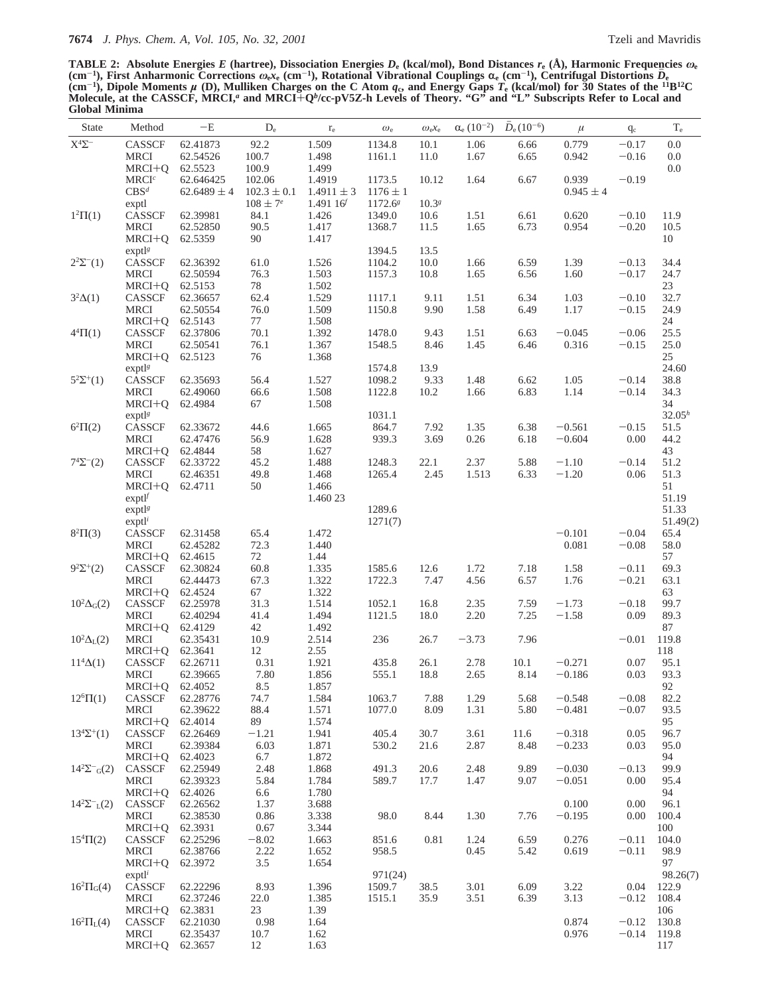**TABLE 2: Absolute Energies** *E* **(hartree), Dissociation Energies** *D***<sup>e</sup> (kcal/mol), Bond Distances** *r***<sup>e</sup> (Å), Harmonic Frequencies** *ω***<sup>e</sup>** (cm<sup>-1</sup>), First Anharmonic Corrections  $\omega_{e^{\chi_{e}}}$  (cm<sup>-1</sup>), Rotational Vibrational Couplings  $\alpha_{e}$  (cm<sup>-1</sup>), Centrifugal Distortions  $D_{e}$ <br>(cm<sup>-1</sup>), Dipole Moments  $\mu$  (D), Mulliken Charges on the C Atom  $q_{c}$ , and **Molecule, at the CASSCF, MRCI,***<sup>a</sup>* **and MRCI**+**Q***<sup>b</sup>***/cc-pV5Z-h Levels of Theory. "G" and "L" Subscripts Refer to Local and Global Minima**

| State                           | Method                | $-\mathbf{E}$        | $D_e$           | $\rm r_e$      | $\omega_{\rm e}$ | $\omega_{\rm e}x_{\rm e}$ | $\alpha_e (10^{-2})$ | $D_e(10^{-6})$ | $\mu$                | $q_c$              | $\rm T_e$    |
|---------------------------------|-----------------------|----------------------|-----------------|----------------|------------------|---------------------------|----------------------|----------------|----------------------|--------------------|--------------|
| $\mathbf{X}^4\mathbf{\Sigma}^-$ | CASSCF                | 62.41873             | 92.2            | 1.509          | 1134.8           | 10.1                      | 1.06                 | 6.66           | 0.779                | $-0.17$            | $0.0\,$      |
|                                 | <b>MRCI</b>           | 62.54526             | 100.7           | 1.498          | 1161.1           | 11.0                      | 1.67                 | 6.65           | 0.942                | $-0.16$            | $0.0\,$      |
|                                 | $MRCI+Q$              | 62.5523              | 100.9           | 1.499          |                  |                           |                      |                |                      |                    | $0.0\,$      |
|                                 | MRCI <sup>c</sup>     | 62.646425            | 102.06          | 1.4919         | 1173.5           | 10.12                     | 1.64                 | 6.67           | 0.939                | $-0.19$            |              |
|                                 | CBS <sup>d</sup>      | $62.6489 \pm 4$      | $102.3 \pm 0.1$ | $1.4911 \pm 3$ | $1176 \pm 1$     |                           |                      |                | $0.945 \pm 4$        |                    |              |
|                                 | exptl                 |                      | $108 \pm 7^e$   | 1.49116        | $1172.6^{g}$     | $10.3^{g}$                |                      |                |                      |                    |              |
| $1^2\Pi(1)$                     | CASSCF                | 62.39981             | 84.1            | 1.426          | 1349.0           | 10.6                      | 1.51                 | 6.61           | 0.620                | $-0.10$            | 11.9         |
|                                 | <b>MRCI</b>           | 62.52850             | 90.5            | 1.417          | 1368.7           | 11.5                      | 1.65                 | 6.73           | 0.954                | $-0.20$            | 10.5         |
|                                 | $MRCI+Q$              | 62.5359              | 90              | 1.417          |                  |                           |                      |                |                      |                    | 10           |
|                                 | $expt^{\beta}$        |                      |                 |                | 1394.5           | 13.5                      |                      |                |                      |                    |              |
| $2^2\Sigma^{-}(1)$              | CASSCF<br>MRCI        | 62.36392<br>62.50594 | 61.0<br>76.3    | 1.526<br>1.503 | 1104.2<br>1157.3 | 10.0<br>10.8              | 1.66<br>1.65         | 6.59<br>6.56   | 1.39<br>1.60         | $-0.13$<br>$-0.17$ | 34.4<br>24.7 |
|                                 | MRCI+Q                | 62.5153              | 78              | 1.502          |                  |                           |                      |                |                      |                    | 23           |
| $3^2\Delta(1)$                  | CASSCF                | 62.36657             | 62.4            | 1.529          | 1117.1           | 9.11                      | 1.51                 | 6.34           | 1.03                 | $-0.10$            | 32.7         |
|                                 | <b>MRCI</b>           | 62.50554             | 76.0            | 1.509          | 1150.8           | 9.90                      | 1.58                 | 6.49           | 1.17                 | $-0.15$            | 24.9         |
|                                 | $MRCI+Q$              | 62.5143              | 77              | 1.508          |                  |                           |                      |                |                      |                    | 24           |
| $4^{4}\Pi(1)$                   | CASSCF                | 62.37806             | 70.1            | 1.392          | 1478.0           | 9.43                      | 1.51                 | 6.63           | $-0.045$             | $-0.06$            | 25.5         |
|                                 | <b>MRCI</b>           | 62.50541             | 76.1            | 1.367          | 1548.5           | 8.46                      | 1.45                 | 6.46           | 0.316                | $-0.15$            | 25.0         |
|                                 | $MRCI+Q$              | 62.5123              | 76              | 1.368          |                  |                           |                      |                |                      |                    | 25           |
|                                 | exp <sup>1</sup>      |                      |                 |                | 1574.8           | 13.9                      |                      |                |                      |                    | 24.60        |
| $5^2\Sigma^+(1)$                | CASSCF                | 62.35693             | 56.4            | 1.527          | 1098.2           | 9.33                      | 1.48                 | 6.62           | 1.05                 | $-0.14$            | 38.8         |
|                                 | <b>MRCI</b>           | 62.49060             | 66.6            | 1.508          | 1122.8           | 10.2                      | 1.66                 | 6.83           | 1.14                 | $-0.14$            | 34.3         |
|                                 | MRCI+Q                | 62.4984              | 67              | 1.508          |                  |                           |                      |                |                      |                    | 34           |
|                                 | $expt^{\beta}$        |                      |                 |                | 1031.1<br>864.7  |                           |                      |                |                      |                    | $32.05^h$    |
| $6^{2}\Pi(2)$                   | CASSCF<br><b>MRCI</b> | 62.33672<br>62.47476 | 44.6<br>56.9    | 1.665<br>1.628 | 939.3            | 7.92<br>3.69              | 1.35<br>0.26         | 6.38<br>6.18   | $-0.561$<br>$-0.604$ | $-0.15$<br>0.00    | 51.5<br>44.2 |
|                                 | MRCI+Q                | 62.4844              | 58              | 1.627          |                  |                           |                      |                |                      |                    | 43           |
| $7^{4}\Sigma^{-}(2)$            | CASSCF                | 62.33722             | 45.2            | 1.488          | 1248.3           | 22.1                      | 2.37                 | 5.88           | $-1.10$              | $-0.14$            | 51.2         |
|                                 | <b>MRCI</b>           | 62.46351             | 49.8            | 1.468          | 1265.4           | 2.45                      | 1.513                | 6.33           | $-1.20$              | 0.06               | 51.3         |
|                                 | MRCI+Q                | 62.4711              | 50              | 1.466          |                  |                           |                      |                |                      |                    | 51           |
|                                 | exp t                 |                      |                 | 1.460 23       |                  |                           |                      |                |                      |                    | 51.19        |
|                                 | exptl <sup>g</sup>    |                      |                 |                | 1289.6           |                           |                      |                |                      |                    | 51.33        |
|                                 | $expt1$ <sup>i</sup>  |                      |                 |                | 1271(7)          |                           |                      |                |                      |                    | 51.49(2)     |
| $8^2\Pi(3)$                     | CASSCF                | 62.31458             | 65.4            | 1.472          |                  |                           |                      |                | $-0.101$             | $-0.04$            | 65.4         |
|                                 | <b>MRCI</b>           | 62.45282             | 72.3            | 1.440          |                  |                           |                      |                | 0.081                | $-0.08$            | 58.0         |
|                                 | MRCI+Q                | 62.4615              | 72              | 1.44           |                  |                           |                      |                |                      |                    | 57           |
| $9^{2}\Sigma^{+}(2)$            | CASSCF                | 62.30824             | 60.8            | 1.335          | 1585.6           | 12.6                      | 1.72                 | 7.18           | 1.58                 | $-0.11$            | 69.3         |
|                                 | <b>MRCI</b>           | 62.44473             | 67.3            | 1.322          | 1722.3           | 7.47                      | 4.56                 | 6.57           | 1.76                 | $-0.21$            | 63.1         |
|                                 | $MRCI+Q$              | 62.4524              | 67              | 1.322          |                  |                           |                      |                |                      |                    | 63<br>99.7   |
| $10^2\Delta_G(2)$               | CASSCF<br><b>MRCI</b> | 62.25978<br>62.40294 | 31.3<br>41.4    | 1.514<br>1.494 | 1052.1<br>1121.5 | 16.8<br>18.0              | 2.35<br>2.20         | 7.59<br>7.25   | $-1.73$<br>$-1.58$   | $-0.18$<br>0.09    | 89.3         |
|                                 | $MRCI+Q$              | 62.4129              | 42              | 1.492          |                  |                           |                      |                |                      |                    | 87           |
| $10^2\Delta_{\rm L}(2)$         | <b>MRCI</b>           | 62.35431             | 10.9            | 2.514          | 236              | 26.7                      | $-3.73$              | 7.96           |                      | $-0.01$            | 119.8        |
|                                 | MRCI+Q                | 62.3641              | 12              | 2.55           |                  |                           |                      |                |                      |                    | 118          |
| $11^{4}\Delta(1)$               | CASSCF                | 62.26711             | 0.31            | 1.921          | 435.8            | 26.1                      | 2.78                 | 10.1           | $-0.271$             | 0.07               | 95.1         |
|                                 | <b>MRCI</b>           | 62.39665             | 7.80            | 1.856          | 555.1            | 18.8                      | 2.65                 | 8.14           | $-0.186$             | 0.03               | 93.3         |
|                                 | MRCI+Q 62.4052        |                      | 8.5             | 1.857          |                  |                           |                      |                |                      |                    | 92           |
| $12^{6} \Pi(1)$                 | CASSCF                | 62.28776             | 74.7            | 1.584          | 1063.7           | 7.88                      | 1.29                 | 5.68           | $-0.548$             | $-0.08$            | 82.2         |
|                                 | <b>MRCI</b>           | 62.39622             | 88.4            | 1.571          | 1077.0           | 8.09                      | 1.31                 | 5.80           | $-0.481$             | $-0.07$            | 93.5         |
|                                 | MRCI+0                | 62.4014              | 89              | 1.574          |                  |                           |                      |                |                      |                    | 95           |
| $13^4\Sigma^+(1)$               | CASSCF                | 62.26469             | $-1.21$         | 1.941          | 405.4            | 30.7                      | 3.61                 | 11.6           | $-0.318$             | 0.05               | 96.7         |
|                                 | <b>MRCI</b>           | 62.39384             | 6.03            | 1.871          | 530.2            | 21.6                      | 2.87                 | 8.48           | $-0.233$             | 0.03               | 95.0         |
|                                 | $MRCI+Q$              | 62.4023              | 6.7             | 1.872          |                  |                           |                      |                |                      |                    | 94           |
| $14^2\Sigma^-$ <sub>G</sub> (2) | CASSCF<br><b>MRCI</b> | 62.25949<br>62.39323 | 2.48<br>5.84    | 1.868<br>1.784 | 491.3<br>589.7   | 20.6<br>17.7              | 2.48<br>1.47         | 9.89<br>9.07   | $-0.030$<br>$-0.051$ | $-0.13$<br>0.00    | 99.9<br>95.4 |
|                                 | $MRCI+Q$              | 62.4026              | 6.6             | 1.780          |                  |                           |                      |                |                      |                    | 94           |
| $14^{2}\Sigma^{-}L(2)$          | CASSCF                | 62.26562             | 1.37            | 3.688          |                  |                           |                      |                | 0.100                | 0.00               | 96.1         |
|                                 | <b>MRCI</b>           | 62.38530             | 0.86            | 3.338          | 98.0             | 8.44                      | 1.30                 | 7.76           | $-0.195$             | 0.00               | 100.4        |
|                                 | MRCI+Q                | 62.3931              | 0.67            | 3.344          |                  |                           |                      |                |                      |                    | 100          |
| $15^{4} \Pi(2)$                 | CASSCF                | 62.25296             | $-8.02$         | 1.663          | 851.6            | 0.81                      | 1.24                 | 6.59           | 0.276                | $-0.11$            | 104.0        |
|                                 | <b>MRCI</b>           | 62.38766             | 2.22            | 1.652          | 958.5            |                           | 0.45                 | 5.42           | 0.619                | $-0.11$            | 98.9         |
|                                 | $MRCI+Q$              | 62.3972              | 3.5             | 1.654          |                  |                           |                      |                |                      |                    | 97           |
|                                 | exptl <sup>i</sup>    |                      |                 |                | 971(24)          |                           |                      |                |                      |                    | 98.26(7)     |
| $16^2\Pi$ <sub>G</sub> (4)      | CASSCF                | 62.22296             | 8.93            | 1.396          | 1509.7           | 38.5                      | 3.01                 | 6.09           | 3.22                 | 0.04               | 122.9        |
|                                 | <b>MRCI</b>           | 62.37246             | 22.0            | 1.385          | 1515.1           | 35.9                      | 3.51                 | 6.39           | 3.13                 | $-0.12$            | 108.4        |
|                                 | MRCI+Q                | 62.3831              | 23              | 1.39           |                  |                           |                      |                |                      |                    | 106          |
| $16^{2} \Pi_{L}(4)$             | CASSCF                | 62.21030             | 0.98            | 1.64           |                  |                           |                      |                | 0.874                | $-0.12$            | 130.8        |
|                                 | <b>MRCI</b>           | 62.35437             | 10.7            | 1.62           |                  |                           |                      |                | 0.976                | $-0.14$            | 119.8        |
|                                 | MRCI+Q 62.3657        |                      | 12              | 1.63           |                  |                           |                      |                |                      |                    | 117          |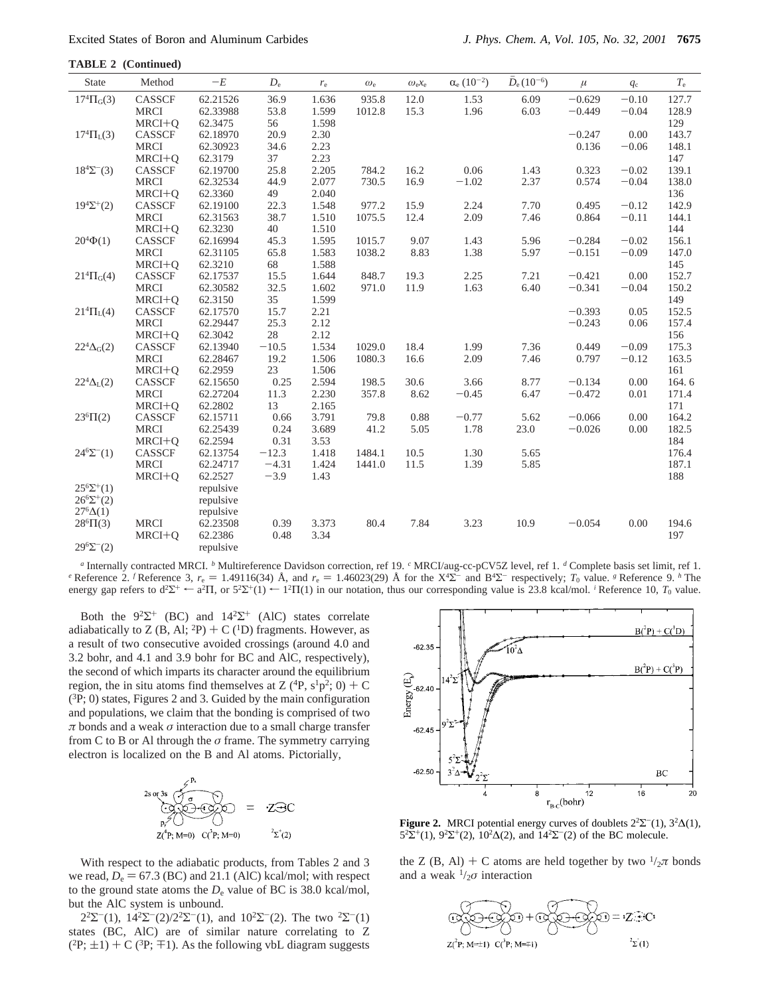| State                 | Method        | $-E$      | $D_{\rm e}$ | $r_{\rm e}$ | $\omega_{\rm e}$ | $\omega_{e}x_{e}$ | $\alpha_{e}$ $(10^{-2})$ | $D_e(10^{-6})$ | $\mu$    | $q_{\rm c}$ | $T_{\rm e}$ |
|-----------------------|---------------|-----------|-------------|-------------|------------------|-------------------|--------------------------|----------------|----------|-------------|-------------|
| $17^{4} \Pi_{G}(3)$   | CASSCF        | 62.21526  | 36.9        | 1.636       | 935.8            | 12.0              | 1.53                     | 6.09           | $-0.629$ | $-0.10$     | 127.7       |
|                       | <b>MRCI</b>   | 62.33988  | 53.8        | 1.599       | 1012.8           | 15.3              | 1.96                     | 6.03           | $-0.449$ | $-0.04$     | 128.9       |
|                       | MRCI+O        | 62.3475   | 56          | 1.598       |                  |                   |                          |                |          |             | 129         |
| $17^{4} \Pi_{L}(3)$   | CASSCF        | 62.18970  | 20.9        | 2.30        |                  |                   |                          |                | $-0.247$ | 0.00        | 143.7       |
|                       | <b>MRCI</b>   | 62.30923  | 34.6        | 2.23        |                  |                   |                          |                | 0.136    | $-0.06$     | 148.1       |
|                       | $MRCI+Q$      | 62.3179   | 37          | 2.23        |                  |                   |                          |                |          |             | 147         |
| $18^4\Sigma^-(3)$     | CASSCF        | 62.19700  | 25.8        | 2.205       | 784.2            | 16.2              | 0.06                     | 1.43           | 0.323    | $-0.02$     | 139.1       |
|                       | <b>MRCI</b>   | 62.32534  | 44.9        | 2.077       | 730.5            | 16.9              | $-1.02$                  | 2.37           | 0.574    | $-0.04$     | 138.0       |
|                       | $MRCI+Q$      | 62.3360   | 49          | 2.040       |                  |                   |                          |                |          |             | 136         |
| $19^{4}\Sigma^{+}(2)$ | <b>CASSCF</b> | 62.19100  | 22.3        | 1.548       | 977.2            | 15.9              | 2.24                     | 7.70           | 0.495    | $-0.12$     | 142.9       |
|                       | <b>MRCI</b>   | 62.31563  | 38.7        | 1.510       | 1075.5           | 12.4              | 2.09                     | 7.46           | 0.864    | $-0.11$     | 144.1       |
|                       | MRCI+O        | 62.3230   | 40          | 1.510       |                  |                   |                          |                |          |             | 144         |
| $20^{4}\Phi(1)$       | CASSCF        | 62.16994  | 45.3        | 1.595       | 1015.7           | 9.07              | 1.43                     | 5.96           | $-0.284$ | $-0.02$     | 156.1       |
|                       | <b>MRCI</b>   | 62.31105  | 65.8        | 1.583       | 1038.2           | 8.83              | 1.38                     | 5.97           | $-0.151$ | $-0.09$     | 147.0       |
|                       | MRCI+O        | 62.3210   | 68          | 1.588       |                  |                   |                          |                |          |             | 145         |
| $21^{4} \Pi_{G}(4)$   | CASSCF        | 62.17537  | 15.5        | 1.644       | 848.7            | 19.3              | 2.25                     | 7.21           | $-0.421$ | 0.00        | 152.7       |
|                       | <b>MRCI</b>   | 62.30582  | 32.5        | 1.602       | 971.0            | 11.9              | 1.63                     | 6.40           | $-0.341$ | $-0.04$     | 150.2       |
|                       | $MRCI+Q$      | 62.3150   | 35          | 1.599       |                  |                   |                          |                |          |             | 149         |
| $21^{4} \Pi_{L}(4)$   | CASSCF        | 62.17570  | 15.7        | 2.21        |                  |                   |                          |                | $-0.393$ | 0.05        | 152.5       |
|                       | <b>MRCI</b>   | 62.29447  | 25.3        | 2.12        |                  |                   |                          |                | $-0.243$ | 0.06        | 157.4       |
|                       | $MRCI+Q$      | 62.3042   | 28          | 2.12        |                  |                   |                          |                |          |             | 156         |
| $22^4\Delta_G(2)$     | <b>CASSCF</b> | 62.13940  | $-10.5$     | 1.534       | 1029.0           | 18.4              | 1.99                     | 7.36           | 0.449    | $-0.09$     | 175.3       |
|                       | <b>MRCI</b>   | 62.28467  | 19.2        | 1.506       | 1080.3           | 16.6              | 2.09                     | 7.46           | 0.797    | $-0.12$     | 163.5       |
|                       | $MRCI+Q$      | 62.2959   | 23          | 1.506       |                  |                   |                          |                |          |             | 161         |
| $22^4\Delta_L(2)$     | CASSCF        | 62.15650  | 0.25        | 2.594       | 198.5            | 30.6              | 3.66                     | 8.77           | $-0.134$ | 0.00        | 164.6       |
|                       | <b>MRCI</b>   | 62.27204  | 11.3        | 2.230       | 357.8            | 8.62              | $-0.45$                  | 6.47           | $-0.472$ | 0.01        | 171.4       |
|                       | MRCI+O        | 62.2802   | 13          | 2.165       |                  |                   |                          |                |          |             | 171         |
| $23^{6} \Pi(2)$       | CASSCF        | 62.15711  | 0.66        | 3.791       | 79.8             | 0.88              | $-0.77$                  | 5.62           | $-0.066$ | 0.00        | 164.2       |
|                       | <b>MRCI</b>   | 62.25439  | 0.24        | 3.689       | 41.2             | 5.05              | 1.78                     | 23.0           | $-0.026$ | 0.00        | 182.5       |
|                       | $MRCI+Q$      | 62.2594   | 0.31        | 3.53        |                  |                   |                          |                |          |             | 184         |
| $24^{6}\Sigma^{-}(1)$ | CASSCF        | 62.13754  | $-12.3$     | 1.418       | 1484.1           | 10.5              | 1.30                     | 5.65           |          |             | 176.4       |
|                       | <b>MRCI</b>   | 62.24717  | $-4.31$     | 1.424       | 1441.0           | 11.5              | 1.39                     | 5.85           |          |             | 187.1       |
|                       | $MRCI+Q$      | 62.2527   | $-3.9$      | 1.43        |                  |                   |                          |                |          |             | 188         |
| $25^{6}\Sigma^{+}(1)$ |               | repulsive |             |             |                  |                   |                          |                |          |             |             |
| $26^6\Sigma^+(2)$     |               | repulsive |             |             |                  |                   |                          |                |          |             |             |
| $27^{6}\Delta(1)$     |               | repulsive |             |             |                  |                   |                          |                |          |             |             |
| $28^{6} \Pi(3)$       | <b>MRCI</b>   | 62.23508  | 0.39        | 3.373       | 80.4             | 7.84              | 3.23                     | 10.9           | $-0.054$ | 0.00        | 194.6       |
|                       | $MRCI+Q$      | 62.2386   | 0.48        | 3.34        |                  |                   |                          |                |          |             | 197         |
| $29^{6}\Sigma^{-}(2)$ |               | repulsive |             |             |                  |                   |                          |                |          |             |             |

*<sup>a</sup>* Internally contracted MRCI. *<sup>b</sup>* Multireference Davidson correction, ref 19. *<sup>c</sup>* MRCI/aug-cc-pCV5Z level, ref 1. *<sup>d</sup>* Complete basis set limit, ref 1. *e* Reference 2. *f* Reference 3,  $r_e = 1.49116(34)$  Å, and  $r_e = 1.46023(29)$  Å for the X<sup>4</sup>Σ<sup>-</sup> and B<sup>4</sup>Σ<sup>-</sup> respectively; *T*<sub>0</sub> value. *g* Reference 9. *h* The energy gap refers to  $d^2\Sigma^+ \leftarrow a^2\Pi$ , or  $5^2\Sigma^+(1) \leftarrow 1^2\Pi(1)$  in our notation, thus our corresponding value is 23.8 kcal/mol. *i* Reference 10,  $T_0$  value.

Both the  $9^2\Sigma^+$  (BC) and  $14^2\Sigma^+$  (AlC) states correlate adiabatically to Z (B, Al; <sup>2</sup>P) + C (<sup>1</sup>D) fragments. However, as a result of two consecutive avoided crossings (around 4.0 and 3.2 bohr, and 4.1 and 3.9 bohr for BC and AlC, respectively), the second of which imparts its character around the equilibrium region, the in situ atoms find themselves at Z  $(^{4}P, s^{1}p^{2}; 0) + C$ (3P; 0) states, Figures 2 and 3. Guided by the main configuration and populations, we claim that the bonding is comprised of two *π* bonds and a weak *σ* interaction due to a small charge transfer from C to B or Al through the *σ* frame. The symmetry carrying electron is localized on the B and Al atoms. Pictorially,



With respect to the adiabatic products, from Tables 2 and 3 we read,  $D_e = 67.3$  (BC) and 21.1 (AlC) kcal/mol; with respect to the ground state atoms the  $D_e$  value of BC is 38.0 kcal/mol, but the AlC system is unbound.

 $2^{2}\Sigma^{-}(1)$ ,  $14^{2}\Sigma^{-}(2)/2^{2}\Sigma^{-}(1)$ , and  $10^{2}\Sigma^{-}(2)$ . The two  $^{2}\Sigma^{-}(1)$ states (BC, AlC) are of similar nature correlating to Z  $(2P; \pm 1) + C$  (<sup>3</sup>P;  $\mp 1$ ). As the following vbL diagram suggests



**Figure 2.** MRCI potential energy curves of doublets  $2^2\Sigma^-(1)$ ,  $3^2\Delta(1)$ , 5<sup>2</sup>Σ<sup>+</sup>(1), 9<sup>2</sup>Σ<sup>+</sup>(2), 10<sup>2</sup>Δ(2), and 14<sup>2</sup>Σ<sup>-</sup>(2) of the BC molecule.

the Z (B, Al) + C atoms are held together by two  $\frac{1}{2}\pi$  bonds and a weak  $\frac{1}{2}\sigma$  interaction

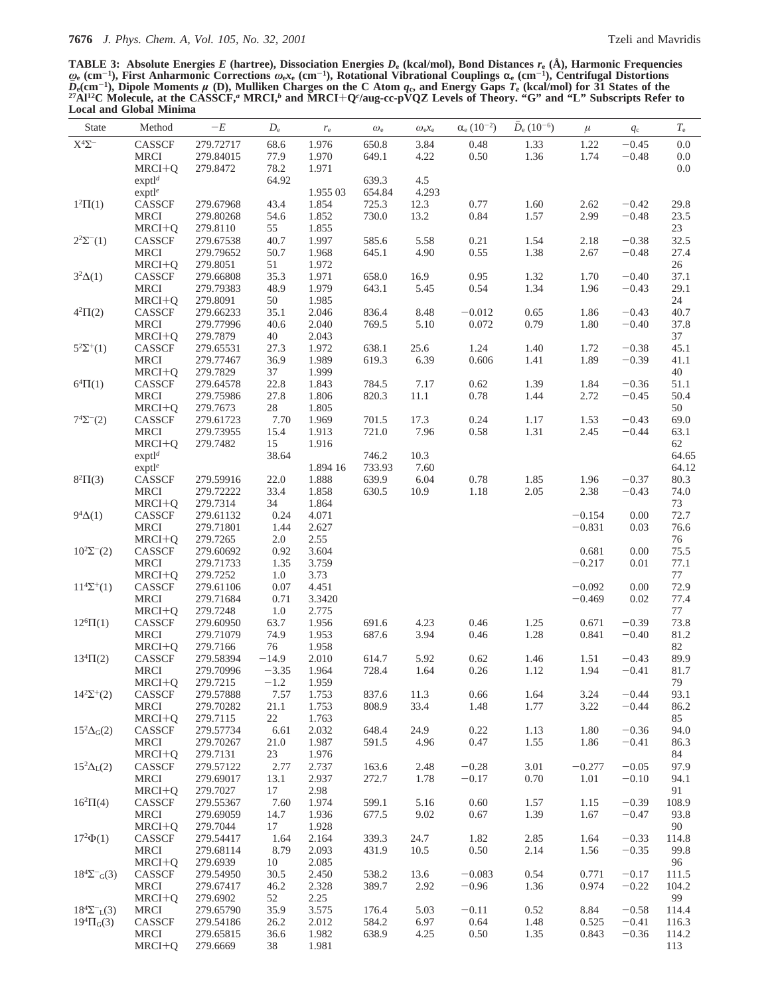**TABLE 3: Absolute Energies** *E* **(hartree), Dissociation Energies** *D***<sup>e</sup> (kcal/mol), Bond Distances** *r***<sup>e</sup> (Å), Harmonic Frequencies** *<sup>ω</sup>***<sup>e</sup> (cm**-**1), First Anharmonic Corrections** *<sup>ω</sup>***e***x***<sup>e</sup> (cm**-**1), Rotational Vibrational Couplings** <sup>r</sup>**<sup>e</sup> (cm**-**1), Centrifugal Distortions**  $D_{\rm e}$ (cm<sup>-1</sup>), Dipole Moments  $\mu$  (D), Mulliken Charges on the C Atom  $q_{\rm c}$ , and Energy Gaps  $T_{\rm e}$  (kcal/mol) for 31 States of the<br><sup>27</sup>Al<sup>12</sup>C Molecule, at the CASSCF," MRCI,<sup>b</sup> and MRCI+Q<sup>c</sup>/aug-cc-pVQZ Levels **Local and Global Minima**

| State                           | Method                                 | $-E$                   | $D_{\rm e}$  | $r_{\rm e}$    | $\omega_{\rm e}$ | $\omega_{e}x_{e}$ | $\alpha_{e}$ $(10^{-2})$ | $D_e(10^{-6})$ | $\mu$        | $q_{\rm c}$        | $T_{\rm e}$    |
|---------------------------------|----------------------------------------|------------------------|--------------|----------------|------------------|-------------------|--------------------------|----------------|--------------|--------------------|----------------|
| $\mathbf{X}^4\mathbf{\Sigma}^-$ | CASSCF                                 | 279.72717              | 68.6         | 1.976          | 650.8            | 3.84              | 0.48                     | 1.33           | 1.22         | $-0.45$            | $0.0\,$        |
|                                 | <b>MRCI</b>                            | 279.84015              | 77.9         | 1.970          | 649.1            | 4.22              | 0.50                     | 1.36           | 1.74         | $-0.48$            | $0.0\,$        |
|                                 | MRCI+Q                                 | 279.8472               | 78.2         | 1.971          |                  |                   |                          |                |              |                    | 0.0            |
|                                 | $exp t l^d$                            |                        | 64.92        |                | 639.3            | 4.5               |                          |                |              |                    |                |
|                                 | exptl <sup>e</sup>                     |                        |              | 1.955 03       | 654.84           | 4.293             |                          |                |              |                    |                |
| $1^2\Pi(1)$                     | CASSCF                                 | 279.67968              | 43.4         | 1.854          | 725.3            | 12.3              | 0.77                     | 1.60           | 2.62         | $-0.42$            | 29.8           |
|                                 | <b>MRCI</b>                            | 279.80268              | 54.6         | 1.852          | 730.0            | 13.2              | 0.84                     | 1.57           | 2.99         | $-0.48$            | 23.5           |
|                                 | MRCI+Q                                 | 279.8110               | 55           | 1.855          |                  |                   |                          |                |              |                    | 23             |
| $2^2\Sigma^{-}(1)$              | CASSCF                                 | 279.67538              | 40.7         | 1.997          | 585.6            | 5.58              | 0.21                     | 1.54           | 2.18         | $-0.38$            | 32.5           |
|                                 | <b>MRCI</b>                            | 279.79652              | 50.7         | 1.968          | 645.1            | 4.90              | 0.55                     | 1.38           | 2.67         | $-0.48$            | 27.4           |
| $3^2\Delta(1)$                  | MRCI+Q<br>CASSCF                       | 279.8051<br>279.66808  | 51<br>35.3   | 1.972<br>1.971 | 658.0            | 16.9              | 0.95                     | 1.32           | 1.70         | $-0.40$            | 26<br>37.1     |
|                                 | MRCI                                   | 279.79383              | 48.9         | 1.979          | 643.1            | 5.45              | 0.54                     | 1.34           | 1.96         | $-0.43$            | 29.1           |
|                                 | MRCI+Q                                 | 279.8091               | 50           | 1.985          |                  |                   |                          |                |              |                    | 24             |
| $4^{2}\Pi(2)$                   | <b>CASSCF</b>                          | 279.66233              | 35.1         | 2.046          | 836.4            | 8.48              | $-0.012$                 | 0.65           | 1.86         | $-0.43$            | 40.7           |
|                                 | <b>MRCI</b>                            | 279.77996              | 40.6         | 2.040          | 769.5            | 5.10              | 0.072                    | 0.79           | 1.80         | $-0.40$            | 37.8           |
|                                 | MRCI+Q                                 | 279.7879               | 40           | 2.043          |                  |                   |                          |                |              |                    | 37             |
| $5^2\Sigma^+(1)$                | CASSCF                                 | 279.65531              | 27.3         | 1.972          | 638.1            | 25.6              | 1.24                     | 1.40           | 1.72         | $-0.38$            | 45.1           |
|                                 | <b>MRCI</b>                            | 279.77467              | 36.9         | 1.989          | 619.3            | 6.39              | 0.606                    | 1.41           | 1.89         | $-0.39$            | 41.1           |
|                                 | MRCI+Q                                 | 279.7829               | 37           | 1.999          |                  |                   |                          |                |              |                    | 40             |
| $6^{4} \Pi(1)$                  | CASSCF                                 | 279.64578              | 22.8         | 1.843          | 784.5            | 7.17              | 0.62                     | 1.39           | 1.84         | $-0.36$            | 51.1           |
|                                 | <b>MRCI</b>                            | 279.75986              | 27.8         | 1.806          | 820.3            | 11.1              | 0.78                     | 1.44           | 2.72         | $-0.45$            | 50.4           |
|                                 | MRCI+Q                                 | 279.7673               | $28\,$       | 1.805          |                  |                   |                          |                |              |                    | 50             |
| $7^4\Sigma^-(2)$                | CASSCF                                 | 279.61723              | 7.70         | 1.969          | 701.5            | 17.3              | 0.24                     | 1.17           | 1.53         | $-0.43$            | 69.0           |
|                                 | MRCI                                   | 279.73955              | 15.4         | 1.913          | 721.0            | 7.96              | 0.58                     | 1.31           | 2.45         | $-0.44$            | 63.1           |
|                                 | $MRCI+Q$                               | 279.7482               | 15           | 1.916          |                  |                   |                          |                |              |                    | 62             |
|                                 | exp <sup>d</sup><br>exptl <sup>e</sup> |                        | 38.64        | 1.894 16       | 746.2<br>733.93  | 10.3<br>7.60      |                          |                |              |                    | 64.65<br>64.12 |
| $8^{2}\Pi(3)$                   | CASSCF                                 | 279.59916              | 22.0         | 1.888          | 639.9            | 6.04              | 0.78                     | 1.85           | 1.96         | $-0.37$            | 80.3           |
|                                 | <b>MRCI</b>                            | 279.72222              | 33.4         | 1.858          | 630.5            | 10.9              | 1.18                     | 2.05           | 2.38         | $-0.43$            | 74.0           |
|                                 | MRCI+Q                                 | 279.7314               | 34           | 1.864          |                  |                   |                          |                |              |                    | 73             |
| $9^4\Delta(1)$                  | CASSCF                                 | 279.61132              | 0.24         | 4.071          |                  |                   |                          |                | $-0.154$     | 0.00               | 72.7           |
|                                 | <b>MRCI</b>                            | 279.71801              | 1.44         | 2.627          |                  |                   |                          |                | $-0.831$     | 0.03               | 76.6           |
|                                 | $MRCI+Q$                               | 279.7265               | 2.0          | 2.55           |                  |                   |                          |                |              |                    | $76\,$         |
| $10^2\Sigma^{-}(2)$             | CASSCF                                 | 279.60692              | 0.92         | 3.604          |                  |                   |                          |                | 0.681        | 0.00               | 75.5           |
|                                 | <b>MRCI</b>                            | 279.71733              | 1.35         | 3.759          |                  |                   |                          |                | $-0.217$     | 0.01               | 77.1           |
|                                 | MRCI+Q                                 | 279.7252               | 1.0          | 3.73           |                  |                   |                          |                |              |                    | 77             |
| $11^{4}\Sigma^{+}(1)$           | CASSCF                                 | 279.61106              | 0.07         | 4.451          |                  |                   |                          |                | $-0.092$     | 0.00               | 72.9           |
|                                 | <b>MRCI</b>                            | 279.71684              | 0.71         | 3.3420         |                  |                   |                          |                | $-0.469$     | 0.02               | 77.4           |
|                                 | $MRCI+Q$                               | 279.7248               | 1.0          | 2.775          |                  |                   |                          |                |              |                    | $77\,$         |
| $12^{6} \Pi(1)$                 | CASSCF                                 | 279.60950              | 63.7         | 1.956          | 691.6            | 4.23              | 0.46                     | 1.25           | 0.671        | $-0.39$            | 73.8           |
|                                 | <b>MRCI</b>                            | 279.71079<br>279.7166  | 74.9<br>76   | 1.953<br>1.958 | 687.6            | 3.94              | 0.46                     | 1.28           | 0.841        | $-0.40$            | 81.2<br>82     |
| $13^{4} \Pi(2)$                 | MRCI+Q<br>CASSCF                       | 279.58394              | $-14.9$      | 2.010          | 614.7            | 5.92              | 0.62                     | 1.46           | 1.51         | $-0.43$            | 89.9           |
|                                 | <b>MRCI</b>                            | 279.70996              | $-3.35$      | 1.964          | 728.4            | 1.64              | 0.26                     | 1.12           | 1.94         | $-0.41$            | 81.7           |
|                                 | MRCI+0                                 | 279.7215               | $-1.2$       | 1.959          |                  |                   |                          |                |              |                    | 79             |
| $14^2\Sigma^+(2)$               | CASSCF                                 | 279.57888              | 7.57         | 1.753          | 837.6            | 11.3              | 0.66                     | 1.64           | 3.24         | $-0.44$            | 93.1           |
|                                 | <b>MRCI</b>                            | 279.70282              | 21.1         | 1.753          | 808.9            | 33.4              | 1.48                     | 1.77           | 3.22         | $-0.44$            | 86.2           |
|                                 | MRCI+Q                                 | 279.7115               | 22           | 1.763          |                  |                   |                          |                |              |                    | 85             |
| $15^2\Delta$ <sub>G</sub> $(2)$ | CASSCF                                 | 279.57734              | 6.61         | 2.032          | 648.4            | 24.9              | 0.22                     | 1.13           | 1.80         | $-0.36$            | 94.0           |
|                                 | <b>MRCI</b>                            | 279.70267              | 21.0         | 1.987          | 591.5            | 4.96              | 0.47                     | 1.55           | 1.86         | $-0.41$            | 86.3           |
|                                 | MRCI+Q                                 | 279.7131               | 23           | 1.976          |                  |                   |                          |                |              |                    | 84             |
| $15^2\Delta_{L}(2)$             | CASSCF                                 | 279.57122              | 2.77         | 2.737          | 163.6            | 2.48              | $-0.28$                  | 3.01           | $-0.277$     | $-0.05$            | 97.9           |
|                                 | <b>MRCI</b>                            | 279.69017              | 13.1         | 2.937          | 272.7            | 1.78              | $-0.17$                  | 0.70           | 1.01         | $-0.10$            | 94.1           |
|                                 | $MRCI+Q$                               | 279.7027               | 17           | 2.98           |                  |                   |                          |                |              |                    | 91             |
| $16^{2} \Pi(4)$                 | CASSCF<br><b>MRCI</b>                  | 279.55367<br>279.69059 | 7.60<br>14.7 | 1.974<br>1.936 | 599.1<br>677.5   | 5.16<br>9.02      | 0.60<br>0.67             | 1.57<br>1.39   | 1.15<br>1.67 | $-0.39$<br>$-0.47$ | 108.9<br>93.8  |
|                                 | MRCI+Q                                 | 279.7044               | 17           | 1.928          |                  |                   |                          |                |              |                    | 90             |
| $17^{2}\Phi(1)$                 | CASSCF                                 | 279.54417              | 1.64         | 2.164          | 339.3            | 24.7              | 1.82                     | 2.85           | 1.64         | $-0.33$            | 114.8          |
|                                 | <b>MRCI</b>                            | 279.68114              | 8.79         | 2.093          | 431.9            | 10.5              | 0.50                     | 2.14           | 1.56         | $-0.35$            | 99.8           |
|                                 | MRCI+Q                                 | 279.6939               | 10           | 2.085          |                  |                   |                          |                |              |                    | 96             |
| $18^4\Sigma^-$ <sub>G</sub> (3) | CASSCF                                 | 279.54950              | 30.5         | 2.450          | 538.2            | 13.6              | $-0.083$                 | 0.54           | 0.771        | $-0.17$            | 111.5          |
|                                 | <b>MRCI</b>                            | 279.67417              | 46.2         | 2.328          | 389.7            | 2.92              | $-0.96$                  | 1.36           | 0.974        | $-0.22$            | 104.2          |
|                                 | MRCI+Q                                 | 279.6902               | 52           | 2.25           |                  |                   |                          |                |              |                    | 99             |
| $18^4\Sigma^{-}L(3)$            | <b>MRCI</b>                            | 279.65790              | 35.9         | 3.575          | 176.4            | 5.03              | $-0.11$                  | 0.52           | 8.84         | $-0.58$            | 114.4          |
| $19^{4} \Pi_{G}(3)$             | CASSCF                                 | 279.54186              | 26.2         | 2.012          | 584.2            | 6.97              | 0.64                     | 1.48           | 0.525        | $-0.41$            | 116.3          |
|                                 | <b>MRCI</b>                            | 279.65815              | 36.6         | 1.982          | 638.9            | 4.25              | 0.50                     | 1.35           | 0.843        | $-0.36$            | 114.2          |
|                                 | MRCI+Q                                 | 279.6669               | 38           | 1.981          |                  |                   |                          |                |              |                    | 113            |
|                                 |                                        |                        |              |                |                  |                   |                          |                |              |                    |                |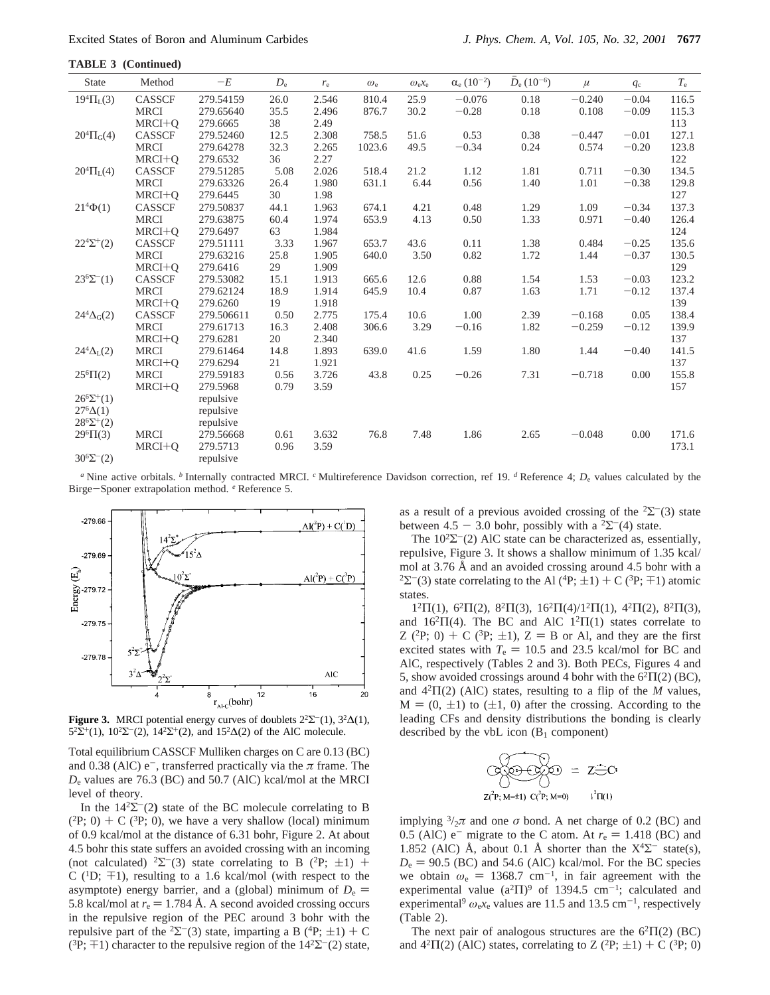| State                    | Method        | $-E$       | $D_{\rm e}$ | $r_{\rm e}$ | $\omega_{\rm e}$ | $\omega_{e}x_{e}$ | $\alpha_e (10^{-2})$ | $\bar{D}_{e}$ (10 <sup>-6</sup> ) | $\mu$    | $q_c$   | $T_{\rm e}$ |
|--------------------------|---------------|------------|-------------|-------------|------------------|-------------------|----------------------|-----------------------------------|----------|---------|-------------|
| $19^{4} \Pi_{L}(3)$      | CASSCF        | 279.54159  | 26.0        | 2.546       | 810.4            | 25.9              | $-0.076$             | 0.18                              | $-0.240$ | $-0.04$ | 116.5       |
|                          | <b>MRCI</b>   | 279.65640  | 35.5        | 2.496       | 876.7            | 30.2              | $-0.28$              | 0.18                              | 0.108    | $-0.09$ | 115.3       |
|                          | MRCI+O        | 279.6665   | 38          | 2.49        |                  |                   |                      |                                   |          |         | 113         |
| $20^{4} \Pi_{G}(4)$      | CASSCF        | 279.52460  | 12.5        | 2.308       | 758.5            | 51.6              | 0.53                 | 0.38                              | $-0.447$ | $-0.01$ | 127.1       |
|                          | <b>MRCI</b>   | 279.64278  | 32.3        | 2.265       | 1023.6           | 49.5              | $-0.34$              | 0.24                              | 0.574    | $-0.20$ | 123.8       |
|                          | $MRCI+Q$      | 279.6532   | 36          | 2.27        |                  |                   |                      |                                   |          |         | 122         |
| $20^{4} \Pi_{L}(4)$      | CASSCF        | 279.51285  | 5.08        | 2.026       | 518.4            | 21.2              | 1.12                 | 1.81                              | 0.711    | $-0.30$ | 134.5       |
|                          | <b>MRCI</b>   | 279.63326  | 26.4        | 1.980       | 631.1            | 6.44              | 0.56                 | 1.40                              | 1.01     | $-0.38$ | 129.8       |
|                          | $MRCI+Q$      | 279.6445   | 30          | 1.98        |                  |                   |                      |                                   |          |         | 127         |
| $21^{4}\Phi(1)$          | CASSCF        | 279.50837  | 44.1        | 1.963       | 674.1            | 4.21              | 0.48                 | 1.29                              | 1.09     | $-0.34$ | 137.3       |
|                          | <b>MRCI</b>   | 279.63875  | 60.4        | 1.974       | 653.9            | 4.13              | 0.50                 | 1.33                              | 0.971    | $-0.40$ | 126.4       |
|                          | $MRCI+Q$      | 279.6497   | 63          | 1.984       |                  |                   |                      |                                   |          |         | 124         |
| $22^{4}\Sigma^{+}(2)$    | CASSCF        | 279.51111  | 3.33        | 1.967       | 653.7            | 43.6              | 0.11                 | 1.38                              | 0.484    | $-0.25$ | 135.6       |
|                          | <b>MRCI</b>   | 279.63216  | 25.8        | 1.905       | 640.0            | 3.50              | 0.82                 | 1.72                              | 1.44     | $-0.37$ | 130.5       |
|                          | MRCI+O        | 279.6416   | 29          | 1.909       |                  |                   |                      |                                   |          |         | 129         |
| $23^{6}\Sigma^{-}(1)$    | CASSCF        | 279.53082  | 15.1        | 1.913       | 665.6            | 12.6              | 0.88                 | 1.54                              | 1.53     | $-0.03$ | 123.2       |
|                          | <b>MRCI</b>   | 279.62124  | 18.9        | 1.914       | 645.9            | 10.4              | 0.87                 | 1.63                              | 1.71     | $-0.12$ | 137.4       |
|                          | MRCI+O        | 279.6260   | 19          | 1.918       |                  |                   |                      |                                   |          |         | 139         |
| $24^4\Delta_G(2)$        | <b>CASSCF</b> | 279.506611 | 0.50        | 2.775       | 175.4            | 10.6              | 1.00                 | 2.39                              | $-0.168$ | 0.05    | 138.4       |
|                          | <b>MRCI</b>   | 279.61713  | 16.3        | 2.408       | 306.6            | 3.29              | $-0.16$              | 1.82                              | $-0.259$ | $-0.12$ | 139.9       |
|                          | MRCI+O        | 279.6281   | 20          | 2.340       |                  |                   |                      |                                   |          |         | 137         |
| $24^4 \Delta_{\rm L}(2)$ | <b>MRCI</b>   | 279.61464  | 14.8        | 1.893       | 639.0            | 41.6              | 1.59                 | 1.80                              | 1.44     | $-0.40$ | 141.5       |
|                          | MRCI+Q        | 279.6294   | 21          | 1.921       |                  |                   |                      |                                   |          |         | 137         |
| $25^{6} \Pi(2)$          | <b>MRCI</b>   | 279.59183  | 0.56        | 3.726       | 43.8             | 0.25              | $-0.26$              | 7.31                              | $-0.718$ | 0.00    | 155.8       |
|                          | MRCI+O        | 279.5968   | 0.79        | 3.59        |                  |                   |                      |                                   |          |         | 157         |
| $26^6\Sigma^+(1)$        |               | repulsive  |             |             |                  |                   |                      |                                   |          |         |             |
| $27^{6}\Delta(1)$        |               | repulsive  |             |             |                  |                   |                      |                                   |          |         |             |
| $28^{6}\Sigma^{+}(2)$    |               | repulsive  |             |             |                  |                   |                      |                                   |          |         |             |
| $29^{6} \Pi(3)$          | <b>MRCI</b>   | 279.56668  | 0.61        | 3.632       | 76.8             | 7.48              | 1.86                 | 2.65                              | $-0.048$ | 0.00    | 171.6       |
|                          | MRCI+O        | 279.5713   | 0.96        | 3.59        |                  |                   |                      |                                   |          |         | 173.1       |
| $30^{6} \Sigma^{-}(2)$   |               | repulsive  |             |             |                  |                   |                      |                                   |          |         |             |

*<sup>a</sup>* Nine active orbitals. *<sup>b</sup>* Internally contracted MRCI. *<sup>c</sup>* Multireference Davidson correction, ref 19. *<sup>d</sup>* Reference 4; *D*<sup>e</sup> values calculated by the Birge-Sponer extrapolation method. *<sup>e</sup>* Reference 5.



**Figure 3.** MRCI potential energy curves of doublets  $2^2\Sigma^-(1)$ ,  $3^2\Delta(1)$ , 5<sup>2</sup>Σ<sup>+</sup>(1), 10<sup>2</sup>Σ<sup>-</sup>(2), 14<sup>2</sup>Σ<sup>+</sup>(2), and 15<sup>2</sup>Δ(2) of the AlC molecule.

Total equilibrium CASSCF Mulliken charges on C are 0.13 (BC) and 0.38 (AlC)  $e^-$ , transferred practically via the  $\pi$  frame. The *D*<sup>e</sup> values are 76.3 (BC) and 50.7 (AlC) kcal/mol at the MRCI level of theory.

In the  $14^2\Sigma^-(2)$  state of the BC molecule correlating to B  $(^{2}P; 0) + C$  ( $^3P; 0$ ), we have a very shallow (local) minimum of 0.9 kcal/mol at the distance of 6.31 bohr, Figure 2. At about 4.5 bohr this state suffers an avoided crossing with an incoming (not calculated) <sup>2</sup>Σ<sup>-</sup>(3) state correlating to B (<sup>2</sup>P;  $\pm$ 1) + C ( ${}^{1}D$ ;  ${}^{+}1$ ), resulting to a 1.6 kcal/mol (with respect to the asymptote) energy barrier, and a (global) minimum of  $D_e$  = 5.8 kcal/mol at  $r_e = 1.784$  Å. A second avoided crossing occurs in the repulsive region of the PEC around 3 bohr with the repulsive part of the <sup>2</sup> $\Sigma$ <sup>-</sup>(3) state, imparting a B (<sup>4</sup>P;  $\pm$ 1) + C ( ${}^{3}P$ ;  $\pm 1$ ) character to the repulsive region of the  $14^{2}\Sigma^{-}(2)$  state, as a result of a previous avoided crossing of the  $2\Sigma^{-}(3)$  state between 4.5 - 3.0 bohr, possibly with a <sup>2</sup> $\Sigma$ <sup>-</sup>(4) state.

The  $10^2\Sigma^-(2)$  AlC state can be characterized as, essentially, repulsive, Figure 3. It shows a shallow minimum of 1.35 kcal/ mol at 3.76 Å and an avoided crossing around 4.5 bohr with a <sup>2</sup> $\Sigma$ <sup>-</sup>(3) state correlating to the Al (<sup>4</sup>P;  $\pm$ 1) + C (<sup>3</sup>P;  $\mp$ 1) atomic states.

1<sup>2</sup>Π(1), 6<sup>2</sup>Π(2), 8<sup>2</sup>Π(3), 16<sup>2</sup>Π(4)/1<sup>2</sup>Π(1), 4<sup>2</sup>Π(2), 8<sup>2</sup>Π(3), and  $16^{2}\Pi(4)$ . The BC and AlC  $1^{2}\Pi(1)$  states correlate to Z (<sup>2</sup>P; 0) + C (<sup>3</sup>P;  $\pm$ 1), Z = B or Al, and they are the first excited states with  $T_e = 10.5$  and 23.5 kcal/mol for BC and AlC, respectively (Tables 2 and 3). Both PECs, Figures 4 and 5, show avoided crossings around 4 bohr with the  $6<sup>2</sup>\Pi(2)$  (BC), and 42Π(2) (AlC) states, resulting to a flip of the *M* values,  $M = (0, \pm 1)$  to  $(\pm 1, 0)$  after the crossing. According to the leading CFs and density distributions the bonding is clearly described by the vbL icon  $(B_1 \text{ component})$ 

$$
\overbrace{\bigotimes_{Z(P; M=1)}^{P} C_{P; M=0}}^{Q} = Z \oplus C
$$

implying  $\frac{3}{2}\pi$  and one  $\sigma$  bond. A net charge of 0.2 (BC) and 0.5 (AlC)  $e^-$  migrate to the C atom. At  $r_e = 1.418$  (BC) and 1.852 (AlC) Å, about 0.1 Å shorter than the  $X^4\Sigma^-$  state(s),  $D_e = 90.5$  (BC) and 54.6 (AlC) kcal/mol. For the BC species we obtain  $\omega_e = 1368.7$  cm<sup>-1</sup>, in fair agreement with the experimental value  $(a^2\Pi)^9$  of 1394.5 cm<sup>-1</sup>; calculated and experimental<sup>9</sup>  $\omega_e$ <sub>k</sub> values are 11.5 and 13.5 cm<sup>-1</sup>, respectively (Table 2).

The next pair of analogous structures are the  $6^2\Pi(2)$  (BC) and  $4^2\Pi(2)$  (AlC) states, correlating to Z (<sup>2</sup>P;  $\pm$ 1) + C (<sup>3</sup>P; 0)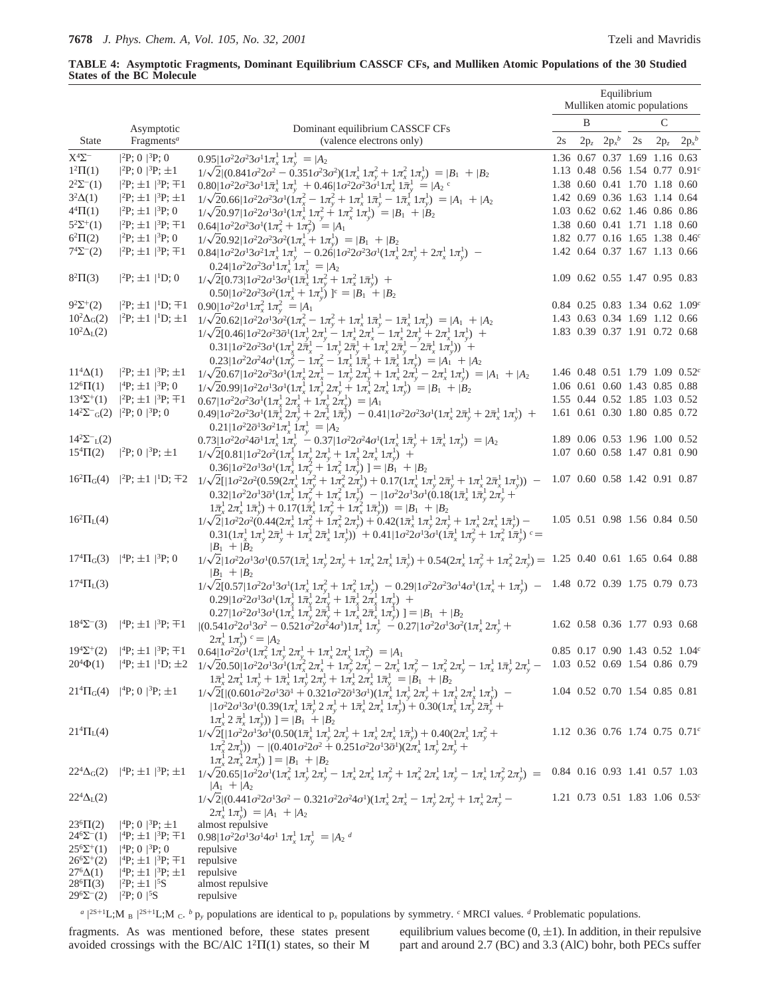# **TABLE 4: Asymptotic Fragments, Dominant Equilibrium CASSCF CFs, and Mulliken Atomic Populations of the 30 Studied States of the BC Molecule**

|                                          |                                                                                       |                                                                                                                                                                                                                                                                                                                                                                                                                                                                                                                                                                                     | Equilibrium<br>Mulliken atomic populations |        |                                                                |    |        |                                             |  |  |  |
|------------------------------------------|---------------------------------------------------------------------------------------|-------------------------------------------------------------------------------------------------------------------------------------------------------------------------------------------------------------------------------------------------------------------------------------------------------------------------------------------------------------------------------------------------------------------------------------------------------------------------------------------------------------------------------------------------------------------------------------|--------------------------------------------|--------|----------------------------------------------------------------|----|--------|---------------------------------------------|--|--|--|
|                                          | Asymptotic                                                                            | Dominant equilibrium CASSCF CFs                                                                                                                                                                                                                                                                                                                                                                                                                                                                                                                                                     |                                            | B      |                                                                |    | C      |                                             |  |  |  |
| <b>State</b>                             | Fragments <sup>a</sup>                                                                | (valence electrons only)                                                                                                                                                                                                                                                                                                                                                                                                                                                                                                                                                            | 2s                                         | $2p_z$ | $2p_x^b$                                                       | 2s | $2p_z$ | $2p_x^b$                                    |  |  |  |
| $\mathbf{X}^4\mathbf{\Sigma}^-$          | $ ^{2}P; 0\rangle  ^{3}P; 0\rangle$                                                   | $0.95 1\sigma^22\sigma^23\sigma^11\pi_x^11\pi_y^1\rangle= A_2\rangle$                                                                                                                                                                                                                                                                                                                                                                                                                                                                                                               |                                            |        | 1.36 0.67 0.37 1.69 1.16 0.63                                  |    |        |                                             |  |  |  |
| $1^2\Pi(1)$                              | $ ^{2}P; 0\rangle  ^{3}P; \pm 1\rangle$                                               | $1/\sqrt{2}(0.841\sigma^2 2\sigma^2 - 0.351\sigma^2 3\sigma^2)(1\pi_x^1 1\pi_y^2 + 1\pi_x^2 1\pi_y^1) =  B_1\rangle +  B_2\rangle$                                                                                                                                                                                                                                                                                                                                                                                                                                                  |                                            |        | 1.13 0.48 0.56 1.54 0.77 0.91 <sup>c</sup>                     |    |        |                                             |  |  |  |
| $2^2\Sigma^{-}(1)$                       | $ ^{2}P;\pm 1\rangle  ^{3}P;\mp 1\rangle$                                             | $0.80 1\sigma^22\sigma^23\sigma^11\bar{\pi}_{x}^11\pi_{y}^1\rangle+0.46 1\sigma^22\sigma^23\sigma^11\pi_{x}^11\bar{\pi}_{y}^1\rangle= A_2\rangle^c$                                                                                                                                                                                                                                                                                                                                                                                                                                 |                                            |        | 1.38 0.60 0.41 1.70 1.18 0.60                                  |    |        |                                             |  |  |  |
| $3^2\Delta(1)$<br>$4^{4}\Pi(1)$          | $ ^{2}P;\pm 1\rangle  ^{3}P;\pm 1\rangle$                                             | $1/\sqrt{2}0.66 1\sigma^22\sigma^23\sigma^1(1\pi_x^2-1\pi_y^2+1\pi_x^11\bar{\pi}_y^1-1\bar{\pi}_x^11\pi_y^1)\rangle= A_1\rangle+ A_2\rangle$                                                                                                                                                                                                                                                                                                                                                                                                                                        |                                            |        | 1.42 0.69 0.36 1.63 1.14 0.64                                  |    |        |                                             |  |  |  |
| $5^{2}\Sigma^{+}(1)$                     | $ ^{2}P;\pm 1\rangle ^{3}P;0\rangle$                                                  | $1/\sqrt{2}0.97 1\sigma^22\sigma^13\sigma^1(1\pi_x^1 1\pi_y^2 + 1\pi_x^2 1\pi_y^1)\rangle =  B_1\rangle +  B_2\rangle$<br>$ ^{2}P;\pm 1\rangle ^{3}P;\pm 1\rangle$ 0.64 $ 1\sigma^{2}2\sigma^{2}3\sigma^{1}(1\pi_{x}^{2}+1\pi_{y}^{2})\rangle= A_{1}\rangle$                                                                                                                                                                                                                                                                                                                        |                                            |        | 1.03 0.62 0.62 1.46 0.86 0.86<br>1.38 0.60 0.41 1.71 1.18 0.60 |    |        |                                             |  |  |  |
| $6^{2}\Pi(2)$                            | $ ^{2}P;\pm 1\rangle  ^{3}P;0\rangle$                                                 | $1/\sqrt{2}0.92 1\sigma^22\sigma^23\sigma^2(1\pi_x^1+1\pi_y^1)\rangle= B_1\rangle+ B_2\rangle$                                                                                                                                                                                                                                                                                                                                                                                                                                                                                      |                                            |        | 1.82 0.77 0.16 1.65 1.38 0.46 <sup>c</sup>                     |    |        |                                             |  |  |  |
| $7^{4}\Sigma^{-}(2)$                     | $ ^{2}P;\pm 1\rangle  ^{3}P;\mp 1\rangle$                                             | $0.84 1\sigma^22\sigma^13\sigma^21\pi_x^11\pi_v^1$ – $0.26 1\sigma^22\sigma^23\sigma^1(1\pi_x^12\pi_v^1+2\pi_x^11\pi_v^1)$ –<br>$0.24 1\sigma^22\sigma^23\sigma^11\pi_x^11\pi_y^1\rangle= A_2\rangle$                                                                                                                                                                                                                                                                                                                                                                               |                                            |        | 1.42 0.64 0.37 1.67 1.13 0.66                                  |    |        |                                             |  |  |  |
| $8^{2}\Pi(3)$                            | $ ^{2}P;\pm 1\rangle  ^{1}D;0\rangle$                                                 | $1/\sqrt{2}[0.73]1\sigma^22\sigma^13\sigma^1(1\bar{\pi}_x^11\pi_v^2+1\pi_x^21\bar{\pi}_v^1)\rangle +$<br>$(0.50 1\sigma^2 2\sigma^2 3\sigma^2 (1\pi^1 + 1\pi^1) )^c =  B_1\rangle +  B_2\rangle$                                                                                                                                                                                                                                                                                                                                                                                    |                                            |        | 1.09 0.62 0.55 1.47 0.95 0.83                                  |    |        |                                             |  |  |  |
| $9^{2}\Sigma^{+}(2)$                     |                                                                                       | $ ^{2}P;\pm 1\rangle ^{1}D;\pm 1\rangle$ 0.90 $ 1\sigma^{2}2\sigma^{1}1\pi_{x}^{2}1\pi_{y}^{2}\rangle= A_{1}\rangle$                                                                                                                                                                                                                                                                                                                                                                                                                                                                |                                            |        | $0.84$ $0.25$ $0.83$ 1.34 $0.62$ 1.09 <sup>c</sup>             |    |        |                                             |  |  |  |
| $10^2\Delta_G(2)$                        |                                                                                       | $ ^{2}P;\pm 1\rangle ^{1}D;\pm 1\rangle$ $1/\sqrt{20.62 1\sigma^{2}2\sigma^{1}3\sigma^{2}(1\pi_{x}^{2}-1\pi_{y}^{2}+1\pi_{x}^{1}1\bar{\pi}_{y}^{1}-1\bar{\pi}_{x}^{1}1\pi_{y}^{1})\rangle= A_{1}\rangle+ A_{2}\rangle$                                                                                                                                                                                                                                                                                                                                                              |                                            |        | 1.43 0.63 0.34 1.69 1.12 0.66                                  |    |        |                                             |  |  |  |
| $10^2\Delta_{\rm L}(2)$                  |                                                                                       | $1/\sqrt{2}[0.46]1\sigma^22\sigma^23\bar{\sigma}^1(1\pi_v^12\pi_v^1-1\pi_x^12\pi_x^1-1\pi_x^12\pi_v^1+2\pi_x^11\pi_v^1)\rangle+$<br>$0.31 1\sigma^2 2\sigma^2 3\sigma^1 (1\pi_x^{\frac{1}{2}} 2\bar{\pi}_x^1 - 1\pi_y^1 2\bar{\pi}_y^1 + 1\pi_x^1 2\bar{\pi}_y^1 - 2\bar{\pi}_x^1 1\bar{\pi}_y^1))$ +<br>$0.23 1\sigma^2 2\sigma^2 4\sigma^1 (1\pi_y^2 - 1\pi_x^2 - 1\pi_x^1 1\bar{\pi}_y^1 + 1\bar{\pi}_x^1 1\pi_y^1)) =  A_1\rangle +  A_2\rangle$                                                                                                                                |                                            |        | 1.83 0.39 0.37 1.91 0.72 0.68                                  |    |        |                                             |  |  |  |
| $114\Delta(1)$                           | $ ^{2}P;\pm 1\rangle  ^{3}P;\pm 1\rangle$                                             | $1/\sqrt{20.67}  1\sigma^2 2\sigma^2 3\sigma^1 (1\pi_x^1 2\pi_x^1 - 1\pi_y^1 2\pi_y^1 + 1\pi_x^1 2\pi_y^1 - 2\pi_x^1 1\pi_y^1) \rangle =  A_1\rangle +  A_2\rangle$                                                                                                                                                                                                                                                                                                                                                                                                                 |                                            |        | 1.46 0.48 0.51 1.79 1.09 0.52 $^c$                             |    |        |                                             |  |  |  |
| $12^{6} \Pi(1)$                          | $ ^{4}P;\pm 1\rangle ^{3}P;0\rangle$                                                  | $1/\sqrt{2}0.99 1\sigma^22\sigma^13\sigma^1(1\pi_x^1 1\pi_y^1 2\pi_y^1 + 1\pi_x^1 2\pi_x^1 1\pi_y^1)\rangle =  B_1\rangle +  B_2\rangle$                                                                                                                                                                                                                                                                                                                                                                                                                                            |                                            |        | 1.06 0.61 0.60 1.43 0.85 0.88                                  |    |        |                                             |  |  |  |
| $13^4\Sigma^+(1)$                        | $ ^{2}P;\pm 1\rangle  ^{3}P;\mp 1\rangle$                                             | $0.67 1\sigma^22\sigma^23\sigma^1(1\pi_x^12\pi_x^1+1\pi_y^12\pi_y^1)\rangle= A_1\rangle$                                                                                                                                                                                                                                                                                                                                                                                                                                                                                            |                                            |        | 1.55 0.44 0.52 1.85 1.03 0.52                                  |    |        |                                             |  |  |  |
|                                          | $14^{2}\Sigma^{-}{}_{G}(2)$   <sup>2</sup> P; 0)  <sup>3</sup> P; 0)                  | $0.49 1\sigma^22\sigma^23\sigma^1(1\bar{\pi}_x^12\pi_v^1+2\pi_x^11\bar{\pi}_v^1)\rangle-0.41 1\sigma^22\sigma^23\sigma^1(1\pi_v^12\bar{\pi}_v^1+2\bar{\pi}_x^11\pi_v^1)\rangle+$<br>$0.21 1\sigma^2 2\bar{\sigma}^1 3\sigma^2 1\pi_x^1$ $1\pi_y^1\rangle =  A_2\rangle$                                                                                                                                                                                                                                                                                                             |                                            |        | 1.61 0.61 0.30 1.80 0.85 0.72                                  |    |        |                                             |  |  |  |
| $14^2\Sigma^{-}L(2)$                     |                                                                                       | $0.73\underline{11}\sigma^22\sigma^24\bar{\sigma}^11\pi_x^11\pi_y^1\rangle-0.37 1\sigma^22\sigma^24\sigma^1(1\pi_x^11\bar{\pi}_v^1+1\bar{\pi}_x^11\pi_v^1)\rangle= A_2\rangle$                                                                                                                                                                                                                                                                                                                                                                                                      |                                            |        | 1.89 0.06 0.53 1.96 1.00 0.52                                  |    |        |                                             |  |  |  |
| $15^{4} \Pi(2)$                          | $ ^{2}P; 0\rangle  ^{3}P; \pm 1\rangle$                                               | $1/\sqrt{2}[0.81]1\sigma^2 2\sigma^2(1\pi^{\text{f}}_x1\pi^1_y2\pi^1_y+1\pi^1_x2\pi^1_x1\pi^1_y)\rangle+$<br>$[0.36 1\sigma^2 2\sigma^1 3\sigma^1 (1\pi_x^1 1\pi_y^2 + 1\pi_x^2 1\pi_y^1)] =  B_1\rangle +  B_2\rangle$                                                                                                                                                                                                                                                                                                                                                             |                                            |        | 1.07 0.60 0.58 1.47 0.81 0.90                                  |    |        |                                             |  |  |  |
|                                          |                                                                                       | $16^{2}\Pi_{G}(4) \quad  ^{2}P;\pm1\rangle  ^{1}D;\mp2\rangle \quad 1/\sqrt{2}[ 1\sigma^{2}2\sigma^{2}(0.59(2\pi_{x}^{1} 1\pi_{y}^{2} + 1\pi_{x}^{2} 2\pi_{y}^{1}) + 0.17(1\pi_{x}^{1} 1\pi_{y}^{1} 2\pi_{y}^{1} + 1\pi_{x}^{1} 2\pi_{x}^{1} 1\pi_{y}^{1}))\rangle -$<br>$0.32 1\sigma^2 2\sigma^1 3\bar{\sigma}^1(1\pi_x^1 1\pi_y^2 + 1\pi_x^2 1\pi_y^1) -  1\sigma^2 2\sigma^1 3\sigma^1(0.18(1\bar{\pi}_x^1 1\bar{\pi}_y^1 2\pi_y^1 +$<br>$1\bar{\pi}_x^1 2\pi_x^1 1\bar{\pi}_y^1 + 0.17(1\bar{\pi}_x^1 1\pi_y^2 + 1\bar{\pi}_x^2 1\bar{\pi}_y^1)$ = $ B_1\rangle +  B_2\rangle$ |                                            |        | 1.07 0.60 0.58 1.42 0.91 0.87                                  |    |        |                                             |  |  |  |
| $16^{2} \Pi_{L}(4)$                      |                                                                                       | $1/\sqrt{2} 1\sigma^2 2\sigma^2(0.44(2\pi_x^1 1\pi_y^2 + 1\pi_x^2 2\pi_y^1) + 0.42(1\bar{\pi}_x^1 1\pi_y^1 2\pi_y^1 + 1\pi_x^1 2\pi_x^1 1\bar{\pi}_y^1) -$<br>$0.31(1\pi_x^1 1\pi_y^1 2\bar{\pi}_y^1 + 1\pi_x^1 2\bar{\pi}_x^1 1\pi_y^1))$ + $0.41 1\sigma^22\sigma^13\sigma^1(1\bar{\pi}_x^1 1\pi_y^2 + 1\pi_x^2 1\bar{\pi}_y^1)$ $c =$<br>$ B_1\rangle +  B_2\rangle$                                                                                                                                                                                                             |                                            |        | 1.05 0.51 0.98 1.56 0.84 0.50                                  |    |        |                                             |  |  |  |
|                                          | $17^4\Pi_G(3)$   <sup>4</sup> P; $\pm 1$ }  <sup>3</sup> P; 0}                        | $1/\sqrt{2}  1\sigma^2 2\sigma^1 3\sigma^1 (0.57(1\bar{\pi}_x^1 1\pi_v^1 2\pi_v^1 + 1\pi_x^1 2\pi_x^1 1\bar{\pi}_v^1) + 0.54(2\pi_x^1 1\pi_v^2 + 1\pi_x^2 2\pi_v^1) = 1.25 \quad 0.40 \quad 0.61 \quad 1.65 \quad 0.64 \quad 0.88$<br>$ B_1\rangle +  B_2\rangle$                                                                                                                                                                                                                                                                                                                   |                                            |        |                                                                |    |        |                                             |  |  |  |
| $17^{4} \Pi_{L}(3)$                      |                                                                                       | $1/\sqrt{2[0.57]}1\sigma^22\sigma^13\sigma^1(1\pi_x^11\pi_y^2+1\pi_x^21\pi_y^1) - 0.29 1\sigma^22\sigma^23\sigma^14\sigma^1(1\pi_x^1+1\pi_y^1) -$<br>$0.29 1\sigma^22\sigma^13\sigma^1(1\pi_x^1 1\bar{\pi}_y^1 2\pi_y^1 + 1\bar{\pi}_x^1 2\pi_x^1 1\pi_y^1)\rangle +$<br>$0.27 1\sigma^2 2\sigma^1 3\sigma^1 (1\pi_x^1 1\pi_y^1 2\bar{\pi}_y^1 + 1\pi_x^1 2\bar{\pi}_x^1 1\pi_y^1)\rangle] =  B_1\rangle +  B_2\rangle$                                                                                                                                                             |                                            |        | 1.48 0.72 0.39 1.75 0.79 0.73                                  |    |        |                                             |  |  |  |
| $18^4\Sigma^{-}(3)$                      |                                                                                       | $ \Phi(x+1) ^3 P$ ; $\pm 1 \rangle$ $ (0.541\sigma^2 2\sigma^1 3\sigma^2 - 0.521\sigma^2 2\sigma^2 4\sigma^1)1\pi_x^1 1\pi_y^1 - 0.27 1\sigma^2 2\sigma^1 3\sigma^2 (1\pi_x^1 2\pi_y^1 + 0.27) 1\sigma^2 3\sigma^2 1\pi_x^1 1\pi_y^1$<br>$(2\pi_x^1 1\pi_y^1)$ <sup>c</sup> = $ A_2\rangle$                                                                                                                                                                                                                                                                                         |                                            |        | 1.62 0.58 0.36 1.77 0.93 0.68                                  |    |        |                                             |  |  |  |
| $19^4\Sigma^+(2)$                        |                                                                                       | $ {}^{4}P; \pm 1\rangle  {}^{3}P; \mp 1\rangle$ $0.64\overline{1}0^{-2}2\sigma^{1}(1\pi_{x}^{2}1\pi_{y}^{1}2\pi_{y}^{1} + 1\pi_{x}^{1}2\pi_{x}^{1}1\pi_{y}^{2})\rangle =  A_{1}\rangle$                                                                                                                                                                                                                                                                                                                                                                                             |                                            |        | $0.85$ 0.17 0.90 1.43 0.52 1.04 <sup>c</sup>                   |    |        |                                             |  |  |  |
| $20^{4}\Phi(1)$                          |                                                                                       |                                                                                                                                                                                                                                                                                                                                                                                                                                                                                                                                                                                     |                                            |        | 1.03 0.52 0.69 1.54 0.86 0.79                                  |    |        |                                             |  |  |  |
|                                          | $21^{4}\Pi_{G}(4)$   <sup>4</sup> P; 0)  <sup>3</sup> P; ±1)                          | $\begin{array}{lll}  \Phi; \pm 1 \rangle  ^{1} \mathrm{D}; \pm 2 \rangle & 1/\sqrt{2} 0.50  1 \sigma^{2} 2 \sigma^{1} 3 \sigma^{1} (1 \pi_{x}^{2} \, 2 \pi_{x}^{1} + 1 \pi_{y}^{2} \, 2 \pi_{y}^{1} - 2 \pi_{x}^{1} \, 1 \pi_{y}^{2} - 1 \pi_{x}^{2} \, 2 \pi_{y}^{1} - 1 \pi_{x}^{1} \, 1 \pi_{y}^{1} \, 2 \pi_{y}^{1} - 1 \pi_{x}^{1} \, 1 \pi_{y}^{1} \, 2 \$<br>$\left  \int_{\tau}^{1} 2 \bar{\pi}_{x}^{1} \left  \bar{\pi}_{y}^{1} \right  \right\rangle = \left  B_{1} \right\rangle + \left  B_{2} \right\rangle$                                                           |                                            |        | 1.04 0.52 0.70 1.54 0.85 0.81                                  |    |        |                                             |  |  |  |
| $21^{4} \Pi_{L}(4)$                      |                                                                                       | $1/\sqrt{2}$ [  $1\sigma^2 2\sigma^1 3\sigma^1 (0.50(1\bar{\pi}_x^1 1\pi_y^1 2\pi_y^1 + 1\pi_x^1 2\pi_x^1 1\bar{\pi}_y^1) + 0.40(2\pi_x^1 1\pi_y^2 +$<br>$1\pi_x^2 2\pi_y^1$ )) – $ (0.401\sigma^2 2\sigma^2 + 0.251\sigma^2 2\sigma^1 3\bar{\sigma}^1)(2\pi_x^1 1\pi_y^1 2\pi_y^1 +$<br>$\left  \int_{\alpha} \hat{d}_x^{\dagger} 2 \pi_x^{\dagger} 2 \pi_y^{\dagger} 2 \right  = \left  B_1 \right\rangle + \left  B_2 \right\rangle$                                                                                                                                             |                                            |        |                                                                |    |        | 1.12 0.36 0.76 1.74 0.75 0.71 $\textdegree$ |  |  |  |
| $22^4\Delta_G(2)$                        | $ ^{4}P;\pm 1\rangle ^{3}P;\pm 1\rangle$                                              | $1/\sqrt{2} 0.65  1\sigma^2 2\sigma^{\text{I}} (1\pi_{\text{x}}^2\,1\pi_{\text{y}}^1\,2\pi_{\text{y}}^1-1\pi_{\text{x}}^1\,2\pi_{\text{x}}^1\,1\pi_{\text{y}}^2+1\pi_{\text{x}}^2\,2\pi_{\text{x}}^1\,1\pi_{\text{v}}^1-1\pi_{\text{x}}^1\,1\pi_{\text{v}}^2\,2\pi_{\text{v}}^1)\rangle =$<br>$ A_1\rangle +  A_2\rangle$                                                                                                                                                                                                                                                           |                                            |        | 0.84 0.16 0.93 1.41 0.57 1.03                                  |    |        |                                             |  |  |  |
| $22^4\Delta_{\rm L}(2)$                  |                                                                                       | $1/\sqrt{2}[(0.441\sigma^22\sigma^13\sigma^2 - 0.321\sigma^22\sigma^24\sigma^1)(1\pi_x^1 2\pi_x^1 - 1\pi_y^1 2\pi_y^1 + 1\pi_x^1 2\pi_y^1 -$<br>$\langle 2\pi_{x}^{1} 1\pi_{y}^{1} \rangle \rangle =  A_{1}\rangle +  A_{2}\rangle$                                                                                                                                                                                                                                                                                                                                                 |                                            |        | 1.21 0.73 0.51 1.83 1.06 0.53 $^c$                             |    |        |                                             |  |  |  |
| $23^{6} \Pi(2)$                          | $ ^{4}P; 0\rangle  ^{3}P; \pm 1\rangle$                                               | almost repulsive                                                                                                                                                                                                                                                                                                                                                                                                                                                                                                                                                                    |                                            |        |                                                                |    |        |                                             |  |  |  |
| $24^{6}\Sigma^{-}(1)$                    | $ ^{4}P;\pm 1\rangle  ^{3}P;\mp 1\rangle$                                             | $0.98 1\sigma^22\sigma^13\sigma^14\sigma^11\pi_x^11\pi_y^1\rangle =  A_2\rangle^d$                                                                                                                                                                                                                                                                                                                                                                                                                                                                                                  |                                            |        |                                                                |    |        |                                             |  |  |  |
| $25^{6}\Sigma^{+}(1)$                    | $ ^{4}P; 0\rangle  ^{3}P; 0\rangle$                                                   | repulsive                                                                                                                                                                                                                                                                                                                                                                                                                                                                                                                                                                           |                                            |        |                                                                |    |        |                                             |  |  |  |
| $26^6\Sigma^+(2)$<br>$276\Delta(1)$      | $ ^{4}P;\pm 1\rangle  ^{3}P;\mp 1\rangle$<br>$ ^{4}P;\pm 1\rangle ^{3}P;\pm 1\rangle$ | repulsive<br>repulsive                                                                                                                                                                                                                                                                                                                                                                                                                                                                                                                                                              |                                            |        |                                                                |    |        |                                             |  |  |  |
| $28^{6} \Pi(3)$<br>$29^{6}\Sigma^{-}(2)$ | $ ^{2}P;\pm 1\rangle  ^{5}S\rangle$<br>$ ^{2}P; 0\rangle  ^{5}S\rangle$               | almost repulsive<br>repulsive                                                                                                                                                                                                                                                                                                                                                                                                                                                                                                                                                       |                                            |        |                                                                |    |        |                                             |  |  |  |
|                                          |                                                                                       |                                                                                                                                                                                                                                                                                                                                                                                                                                                                                                                                                                                     |                                            |        |                                                                |    |        |                                             |  |  |  |

 $a \mid 2S+1$ L;M $\rangle_B \mid 2S+1$ L;M $\rangle_C$ . *b* p<sub>y</sub> populations are identical to p<sub>x</sub> populations by symmetry. *c* MRCI values. *d* Problematic populations.

fragments. As was mentioned before, these states present avoided crossings with the BC/AlC 12Π(1) states, so their M

equilibrium values become  $(0, \pm 1)$ . In addition, in their repulsive part and around 2.7 (BC) and 3.3 (AlC) bohr, both PECs suffer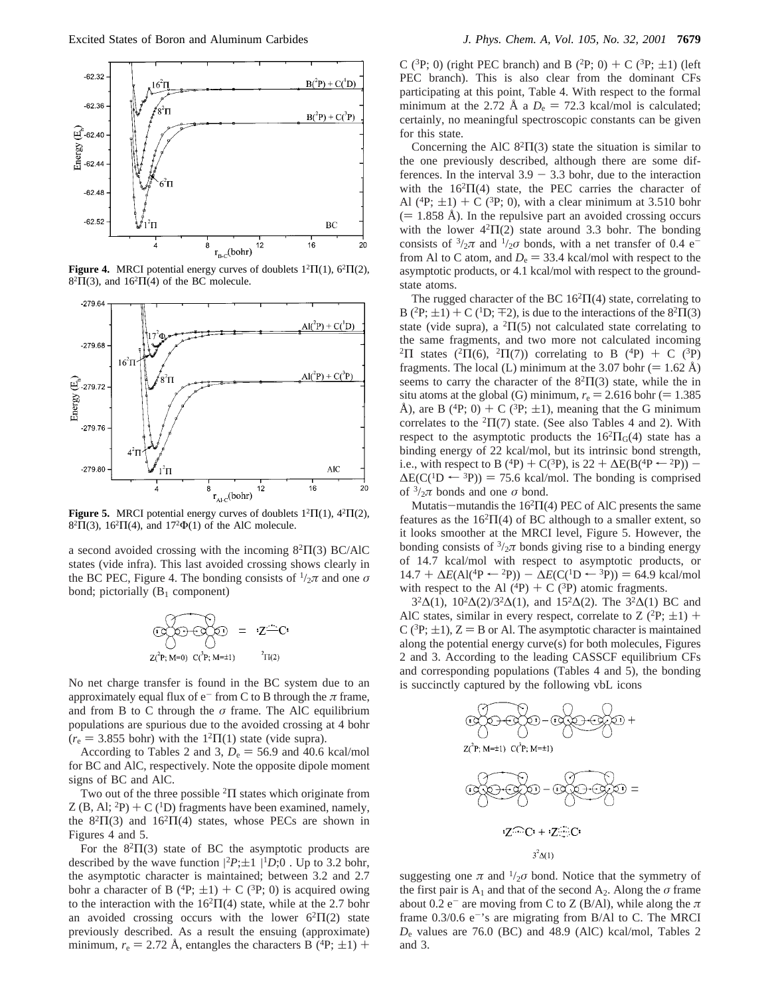

**Figure 4.** MRCI potential energy curves of doublets  $1^2\Pi(1)$ ,  $6^2\Pi(2)$ ,  $8<sup>2</sup>\Pi(3)$ , and  $16<sup>2</sup>\Pi(4)$  of the BC molecule.



**Figure 5.** MRCI potential energy curves of doublets  $1^2\Pi(1)$ ,  $4^2\Pi(2)$ ,  $8<sup>2</sup>\Pi(3)$ ,  $16<sup>2</sup>\Pi(4)$ , and  $17<sup>2</sup>\Phi(1)$  of the AlC molecule.

a second avoided crossing with the incoming  $8^{2}\Pi(3)$  BC/AlC states (vide infra). This last avoided crossing shows clearly in the BC PEC, Figure 4. The bonding consists of  $\frac{1}{2}\pi$  and one  $\sigma$ bond; pictorially  $(B_1 \text{ component})$ 

$$
\text{Cov}(P; M=0) = \sum_{i \in \mathbb{Z}^+ \setminus C^*} \text{Cov}(P; M=1) = \sum_{i \in \mathbb{Z}^+ \setminus \mathbb{Z}^+ \setminus \mathbb{Z}^+} \text{Cov}(P; M=1)
$$

No net charge transfer is found in the BC system due to an approximately equal flux of  $e^-$  from C to B through the  $\pi$  frame, and from B to C through the *σ* frame. The AlC equilibrium populations are spurious due to the avoided crossing at 4 bohr  $(r_e = 3.855$  bohr) with the  $1<sup>2</sup>Π(1)$  state (vide supra).

According to Tables 2 and 3,  $D_e = 56.9$  and 40.6 kcal/mol for BC and AlC, respectively. Note the opposite dipole moment signs of BC and AlC.

Two out of the three possible <sup>2</sup>Π states which originate from Z (B, Al;  ${}^{2}P$ ) + C ( ${}^{1}D$ ) fragments have been examined, namely, the  $8^{2}\Pi(3)$  and  $16^{2}\Pi(4)$  states, whose PECs are shown in Figures 4 and 5.

For the  $8^{2}\Pi(3)$  state of BC the asymptotic products are described by the wave function  $|^{2}P;\pm 1\rangle|^{1}D;0\rangle$ . Up to 3.2 bohr, the asymptotic character is maintained; between 3.2 and 2.7 the asymptotic character is maintained; between 3.2 and 2.7 bohr a character of B ( ${}^{4}P$ ;  $\pm 1$ ) + C ( ${}^{3}P$ ; 0) is acquired owing to the interaction with the  $16<sup>2</sup>\Pi(4)$  state, while at the 2.7 bohr an avoided crossing occurs with the lower  $6<sup>2</sup>\Pi(2)$  state previously described. As a result the ensuing (approximate) minimum,  $r_e = 2.72$  Å, entangles the characters B (<sup>4</sup>P;  $\pm$ 1) + C (<sup>3</sup>P; 0) (right PEC branch) and B (<sup>2</sup>P; 0) + C (<sup>3</sup>P;  $\pm$ 1) (left PEC branch). This is also clear from the dominant CFs participating at this point, Table 4. With respect to the formal minimum at the 2.72 Å a  $D_e = 72.3$  kcal/mol is calculated; certainly, no meaningful spectroscopic constants can be given for this state.

Concerning the AlC  $8^{2}\Pi(3)$  state the situation is similar to the one previously described, although there are some differences. In the interval  $3.9 - 3.3$  bohr, due to the interaction with the  $16^{2}\Pi(4)$  state, the PEC carries the character of Al  $(^{4}P; \pm 1)$  + C  $(^{3}P; 0)$ , with a clear minimum at 3.510 bohr  $(= 1.858 \text{ Å})$ . In the repulsive part an avoided crossing occurs with the lower  $4<sup>2</sup>\Pi(2)$  state around 3.3 bohr. The bonding consists of  $\frac{3}{2}\pi$  and  $\frac{1}{2}\sigma$  bonds, with a net transfer of 0.4 e<sup>-</sup> from Al to C atom, and  $D_e = 33.4$  kcal/mol with respect to the asymptotic products, or 4.1 kcal/mol with respect to the groundstate atoms.

The rugged character of the BC  $16^{2} \Pi(4)$  state, correlating to B (<sup>2</sup>P;  $\pm$ 1) + C (<sup>1</sup>D;  $\pm$ 2), is due to the interactions of the 8<sup>2</sup> $\Pi$ (3) state (vide supra), a  ${}^{2}\Pi(5)$  not calculated state correlating to the same fragments, and two more not calculated incoming <sup>2</sup>Π states (<sup>2</sup>Π(6), <sup>2</sup>Π(7)) correlating to B (<sup>4</sup>P) + C (<sup>3</sup>P) fragments. The local (L) minimum at the 3.07 bohr (= 1.62 Å) seems to carry the character of the  $8^{2}\Pi(3)$  state, while the in situ atoms at the global (G) minimum,  $r_e = 2.616$  bohr (= 1.385) Å), are B (<sup>4</sup>P; 0) + C (<sup>3</sup>P;  $\pm$ 1), meaning that the G minimum correlates to the  ${}^{2}\Pi(7)$  state. (See also Tables 4 and 2). With respect to the asymptotic products the  $16^{2} \Pi_{G}(4)$  state has a binding energy of 22 kcal/mol, but its intrinsic bond strength, i.e., with respect to B (<sup>4</sup>P) + C(<sup>3</sup>P), is 22 +  $\Delta E(B(^{4}P \leftarrow {}^{2}P))$  - $\Delta E(C({}^{1}D \leftarrow {}^{3}P)) = 75.6$  kcal/mol. The bonding is comprised of  $\frac{3}{2}\pi$  bonds and one  $\sigma$  bond.

Mutatis-mutandis the  $16^{2} \Pi(4)$  PEC of AlC presents the same features as the  $16<sup>2</sup>\Pi(4)$  of BC although to a smaller extent, so it looks smoother at the MRCI level, Figure 5. However, the bonding consists of  $\frac{3}{2}\pi$  bonds giving rise to a binding energy of 14.7 kcal/mol with respect to asymptotic products, or  $14.7 + \Delta E(AI(^4P \leftarrow {}^{2}P)) - \Delta E(C(^1D \leftarrow {}^{3}P)) = 64.9$  kcal/mol with respect to the Al  $({}^{4}P) + C({}^{3}P)$  atomic fragments.

3<sup>2</sup>∆(1), 10<sup>2</sup>∆(2)/3<sup>2</sup>∆(1), and 15<sup>2</sup>∆(2). The 3<sup>2</sup>∆(1) BC and AlC states, similar in every respect, correlate to  $Z$  (<sup>2</sup>P;  $\pm$ 1) + C ( ${}^{3}P$ ;  $\pm$ 1), Z = B or Al. The asymptotic character is maintained along the potential energy curve(s) for both molecules, Figures 2 and 3. According to the leading CASSCF equilibrium CFs and corresponding populations (Tables 4 and 5), the bonding is succinctly captured by the following vbL icons



suggesting one  $\pi$  and  $\frac{1}{2}\sigma$  bond. Notice that the symmetry of the first pair is  $A_1$  and that of the second  $A_2$ . Along the  $\sigma$  frame about  $0.2 e^-$  are moving from C to Z (B/Al), while along the  $\pi$ frame  $0.3/0.6$  e<sup>-</sup>'s are migrating from B/Al to C. The MRCI *D*<sup>e</sup> values are 76.0 (BC) and 48.9 (AlC) kcal/mol, Tables 2 and 3.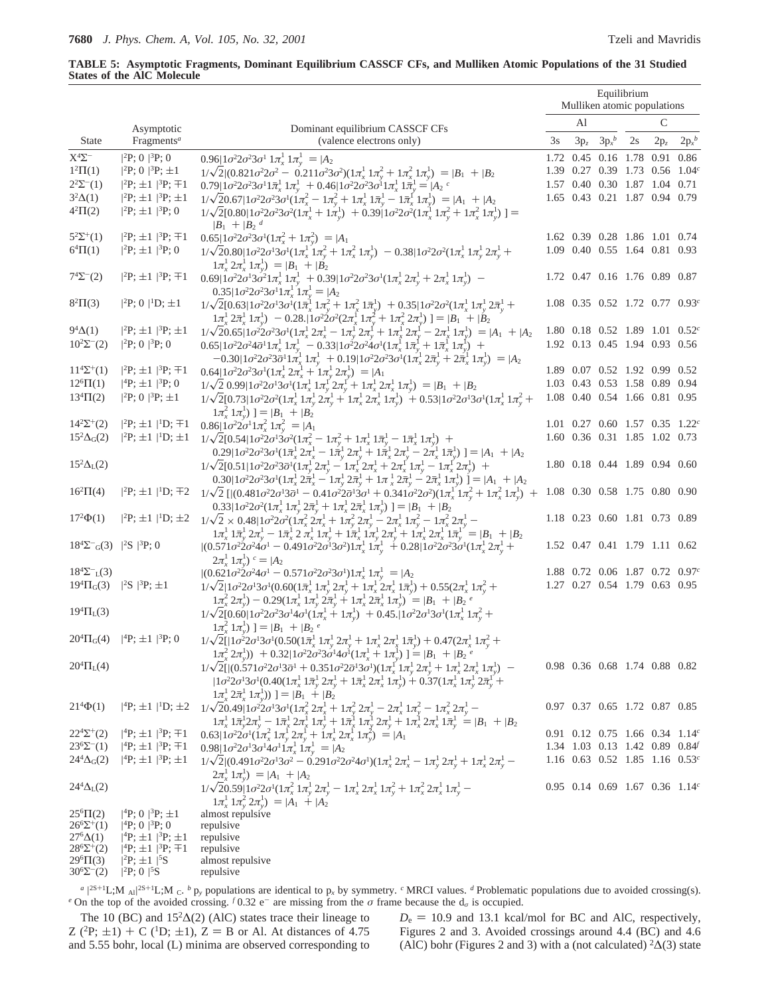## **TABLE 5: Asymptotic Fragments, Dominant Equilibrium CASSCF CFs, and Mulliken Atomic Populations of the 31 Studied States of the AlC Molecule**

|                                                            |                                                                                      |                                                                                                                                                                                                                                                                                                                                                                             |    |                 | Mulliken atomic populations                  | Equilibrium |        |          |
|------------------------------------------------------------|--------------------------------------------------------------------------------------|-----------------------------------------------------------------------------------------------------------------------------------------------------------------------------------------------------------------------------------------------------------------------------------------------------------------------------------------------------------------------------|----|-----------------|----------------------------------------------|-------------|--------|----------|
|                                                            | Asymptotic                                                                           | Dominant equilibrium CASSCF CFs                                                                                                                                                                                                                                                                                                                                             |    | Al              |                                              |             | C      |          |
| <b>State</b>                                               | Fragments <sup>a</sup>                                                               | (valence electrons only)                                                                                                                                                                                                                                                                                                                                                    | 3s | $3\mathrm{p}_z$ | $3p_x^b$                                     | 2s          | $2p_z$ | $2p_x^b$ |
| $\mathbf{X}^4\mathbf{\Sigma}^-$                            | $ ^{2}P; 0\rangle  ^{3}P; 0\rangle$                                                  | $0.96 1\sigma^22\sigma^23\sigma^11\pi_x^11\pi_y^1\rangle= A_2\rangle$                                                                                                                                                                                                                                                                                                       |    |                 | 1.72 0.45 0.16 1.78 0.91 0.86                |             |        |          |
| $1^2\Pi(1)$                                                | $ ^{2}P; 0\rangle  ^{3}P; \pm 1\rangle$                                              | $1/\sqrt{2}(0.821\sigma^2 2\sigma^2 - 0.211\sigma^2 3\sigma^2)(1\pi_x^1 1\pi_y^2 + 1\pi_y^2 1\pi_y^1) =  B_1\rangle +  B_2\rangle$                                                                                                                                                                                                                                          |    |                 | 1.39 0.27 0.39 1.73 0.56 1.04 <sup>c</sup>   |             |        |          |
| $2^2\Sigma^{-}(1)$                                         | $ ^{2}P;\pm 1\rangle ^{3}P;\mp 1\rangle$                                             | $0.79 1\sigma^22\sigma^23\sigma^11\bar{\pi}_x^11\pi_v^1\rangle + 0.46 1\sigma^22\sigma^23\sigma^11\pi_x^11\bar{\pi}_v^1 =  A_2\rangle^c$                                                                                                                                                                                                                                    |    |                 | 1.57 0.40 0.30 1.87 1.04 0.71                |             |        |          |
| $3^2\Delta(1)$                                             | $ ^{2}P;\pm 1\rangle  ^{3}P;\pm 1\rangle$                                            | $1/\sqrt{20.67}  1\sigma^2 2\sigma^2 3\sigma^1 (1\pi_x^2 - 1\pi_y^2 + 1\pi_x^1 1\bar{\pi}_y^1 - 1\bar{\pi}_x^1 1\pi_y^1) =  A_1\rangle +  A_2\rangle$                                                                                                                                                                                                                       |    |                 | 1.65 0.43 0.21 1.87 0.94 0.79                |             |        |          |
| $4^{2}\Pi(2)$                                              | $ ^{2}P;\pm 1\rangle  ^{3}P;0\rangle$                                                | $1/\sqrt{2}[0.80]1\sigma^22\sigma^23\sigma^2(1\pi_x^1+1\pi_v^1)\rangle+0.39]1\sigma^22\sigma^2(1\pi_x^11\pi_v^2+1\pi_x^21\pi_v^1)\rangle] =$<br>$ B_1\rangle +  B_2\rangle^d$                                                                                                                                                                                               |    |                 |                                              |             |        |          |
| $5^{2}\Sigma^{+}(1)$                                       | $ ^{2}P;\pm 1\rangle ^{3}P;\mp 1\rangle$                                             | $0.65 1\sigma^22\sigma^23\sigma^1(1\pi_x^2+1\pi_y^2)\rangle= A_1\rangle$                                                                                                                                                                                                                                                                                                    |    |                 | 1.62 0.39 0.28 1.86 1.01 0.74                |             |        |          |
| $6^{4} \Pi(1)$                                             | $ ^{2}P;\pm 1\rangle ^{3}P;0\rangle$                                                 | $1/\sqrt{2}0.80 1\sigma^22\sigma^13\sigma^1(1\pi_x^11\pi_v^2+1\pi_x^21\pi_v^1)\rangle-0.38 1\sigma^22\sigma^2(1\pi_x^11\pi_v^12\pi_v^1+1)$<br>$1\pi_x^1 2\pi_x^1 1\pi_y^1$ ) = $ B_1\rangle +  B_2\rangle$                                                                                                                                                                  |    |                 | 1.09 0.40 0.55 1.64 0.81 0.93                |             |        |          |
| $7^{4}\Sigma^{-}(2)$                                       | $ ^{2}P;\pm 1\rangle  ^{3}P;\mp 1\rangle$                                            | $0.69 1\sigma^2 2\sigma^1 3\sigma^2 1\pi_x^1 1\pi_y^1$ + $0.39 1\sigma^2 2\sigma^2 3\sigma^1 (1\pi_x^1 2\pi_y^1 + 2\pi_x^1 1\pi_y^1)$ -<br>$0.35 1\sigma^22\sigma^23\sigma^11\pi_x^11\pi_y^1\rangle= A_2\rangle$                                                                                                                                                            |    |                 | 1.72 0.47 0.16 1.76 0.89 0.87                |             |        |          |
| $8^{2}\Pi(3)$                                              | $ ^{2}P; 0\rangle  ^{1}D; \pm 1\rangle$                                              | $1/\sqrt{2}[0.63]1\sigma^22\sigma^13\sigma^1(1\bar{\pi}_x^11\pi_y^2+1\pi_x^21\bar{\pi}_y^1\rangle]+0.35 1\sigma^22\sigma^2(1\pi_x^11\pi_y^12\bar{\pi}_y^1+$<br>$\langle 1\pi_x^1 2\bar{\pi}_x^1 1\pi_y^1 \rangle \rangle - 0.28. \langle 1\sigma^2 2\sigma^2 (2\pi_x^1 1\pi_y^2 + 1\pi_x^2 2\pi_y^1) \rangle =  B_1\rangle +  B_2\rangle$                                   |    |                 | $1.08$ 0.35 0.52 1.72 0.77 0.93 <sup>c</sup> |             |        |          |
| $9^4\Delta(1)$                                             | $ ^{2}P;\pm 1\rangle ^{3}P;\pm 1\rangle$                                             | $1/\sqrt{20.65} \left[1\sigma^2 2\sigma^2 3\sigma^1 (1\pi_x^1 2\pi_x^1 - 1\pi_y^1 2\pi_y^1 + 1\pi_x^1 2\pi_y^1 - 2\pi_x^1 1\pi_y^1) \right] =  A_1\rangle +  A_2\rangle$                                                                                                                                                                                                    |    |                 | 1.80 0.18 0.52 1.89 1.01 0.52 $^c$           |             |        |          |
| $10^2\Sigma^{-}(2)$                                        | $ ^{2}P; 0\rangle  ^{3}P; 0\rangle$                                                  | $0.65 1\sigma^22\sigma^24\bar{\sigma}^11\pi_x^11\pi_y^1\rangle - 0.33 1\sigma^22\sigma^24\sigma^1(1\pi_x^11\bar{\pi}_y^1+1\bar{\pi}_x^11\pi_y^1)\rangle +$<br>$-0.30 1\sigma^2 2\sigma^2 3\bar{\sigma}^1 1\pi_x^1 1\pi_y^1 + 0.19 1\sigma^2 2\sigma^2 3\sigma^1 (1\pi_x^1 2\bar{\pi}_y^1 + 2\bar{\pi}_x^1 1\pi_y^1) =  A_2\rangle$                                          |    |                 | 1.92 0.13 0.45 1.94 0.93 0.56                |             |        |          |
| $11^{4}\Sigma^{+}(1)$                                      | $ ^{2}P;\pm 1\rangle  ^{3}P;\mp 1\rangle$                                            | $0.64 1\sigma^22\sigma^23\sigma^1(1\pi_x^12\pi_x^1+1\pi_y^12\pi_y^1)\rangle= A_1\rangle$                                                                                                                                                                                                                                                                                    |    |                 | 1.89 0.07 0.52 1.92 0.99 0.52                |             |        |          |
| $12^{6} \Pi(1)$                                            | $ ^{4}P;\pm 1\rangle ^{3}P;0\rangle$                                                 | $1/\sqrt{2}$ 0.99 $1\sigma^2 2\sigma^1 3\sigma^1 (1\pi_x^1 1\pi_y^1 2\pi_y^1 + 1\pi_x^1 2\pi_x^1 1\pi_y^1) =  B_1\rangle +  B_2\rangle$                                                                                                                                                                                                                                     |    |                 | 1.03 0.43 0.53 1.58 0.89 0.94                |             |        |          |
| $13^{4} \Pi(2)$                                            | $ ^{2}P; 0\rangle  ^{3}P; \pm 1\rangle$                                              | $1/\sqrt{2}[0.73]1\sigma^22\sigma^2(1\pi_x^1 1\pi_y^1 2\pi_y^1 + 1\pi_x^1 2\pi_x^1 1\pi_y^1) + 0.53 1\sigma^22\sigma^13\sigma^1(1\pi_x^1 1\pi_y^2 +$<br>$ \pi_x^2 1\pi_y^1\rangle = B_1\rangle+ B_2\rangle$                                                                                                                                                                 |    |                 | 1.08  0.40  0.54  1.66  0.81  0.95           |             |        |          |
| $14^2\Sigma^+(2)$                                          |                                                                                      | $ ^{2}P;\pm 1\rangle ^{1}D;\pm 1\rangle$ 0.86 $ 1\sigma^{2}2\sigma^{1}1\pi_{x}^{2}1\pi_{y}^{2}\rangle =  A_{1}\rangle$                                                                                                                                                                                                                                                      |    |                 | 1.01 0.27 0.60 1.57 0.35 1.22 $^c$           |             |        |          |
| $15^2\Delta$ <sub>G</sub> $(2)$                            |                                                                                      | $ ^{2}P;\pm 1\rangle ^{1}D;\pm 1\rangle$ $1/\sqrt{2}[0.54]1\sigma^{2}2\sigma^{1}3\sigma^{2}(1\pi_{x}^{2}-1\pi_{y}^{2}+1\pi_{x}^{1}1\pi_{y}^{1}-1\pi_{x}^{1}1\pi_{y}^{1})\rangle +$<br>$0.29 1\sigma^2 2\sigma^2 3\sigma^1 (1\bar{\pi}_x^1 2\bar{\pi}_x^1 - 1\bar{\pi}_y^1 2\pi_y^1 + 1\bar{\pi}_x^1 2\pi_y^1 - 2\bar{\pi}_x^1 1\bar{\pi}_y^1)  =  A_1\rangle +  A_2\rangle$ |    |                 | 1.60 0.36 0.31 1.85 1.02 0.73                |             |        |          |
| $15^2\Delta_L(2)$                                          |                                                                                      | $1/\sqrt{2}[0.51]1\sigma^22\sigma^23\bar{\sigma}^1(1\pi_v^T2\pi_v^1 - 1\pi_x^T2\pi_x^1 + 2\pi_x^T1\pi_v^1 - 1\pi_x^T2\pi_v^1)\rangle +$<br>$0.30 1\sigma^2 2\sigma^2 3\sigma^1 (1\pi_x^1 2\pi_x^1 - 1\pi_y^1 2\pi_y^1 + 1\pi_x^1 2\pi_y^1 - 2\pi_x^1 1\pi_y^1)\rangle =  A_1\rangle +  A_2\rangle$                                                                          |    |                 | 1.80 0.18 0.44 1.89 0.94 0.60                |             |        |          |
| $16^{2} \Pi(4)$                                            |                                                                                      | $ ^{2}P;\pm 1\rangle ^{1}D;\pm 2\rangle$ $1/\sqrt{2}$ $[ (0.481\sigma^{2}2\sigma^{1}3\bar{\sigma}^{1}-0.41\sigma^{2}2\bar{\sigma}^{1}3\sigma^{1}+0.341\sigma^{2}2\sigma^{2})(1\pi_{x}^{1}1\pi_{y}^{2}+1\pi_{x}^{2}1\pi_{y}^{1})\rangle +$<br>$0.33 1\sigma^22\sigma^2(1\pi_x^1 1\pi_y^1 2\bar{\pi}_y^1 + 1\pi_x^1 2\bar{\pi}_x^1 1\pi_y^1)  =  B_1\rangle +  B_2\rangle$    |    |                 | 1.08 0.30 0.58 1.75 0.80 0.90                |             |        |          |
| $17^{2}\Phi(1)$                                            |                                                                                      | $ {}^{2}\text{P};\,\pm 1\rangle  {}^{1}\text{D};\,\pm 2\rangle \  \  \, 1/\sqrt{2}\times 0.48 \\  1\sigma^{2}2\sigma^{2}(1\pi_{x}^{2}\,2\pi_{x}^{1}+1\pi_{y}^{2}\,2\pi_{y}^{1}-2\pi_{x}^{1}\,1\pi_{y}^{2}-1\pi_{x}^{2}\,2\pi_{y}^{1}-$                                                                                                                                      |    |                 | 1.18 0.23 0.60 1.81 0.73 0.89                |             |        |          |
| $18^4\Sigma^-$ <sub>G</sub> (3) $ {}^2S\rangle {}^3P$ ; 0) |                                                                                      | $1\pi_x^1 1\bar{\pi}_y^1 2\pi_y^1 - 1\bar{\pi}_x^1 2\bar{\pi}_x^1 1\bar{\pi}_y^1 + 1\bar{\pi}_x^1 1\pi_y^1 2\pi_y^1 + 1\bar{\pi}_x^1 2\pi_x^1 1\bar{\pi}_y^1 \ge  B_1\rangle +  B_2\rangle$<br>$ (0.571\sigma^2 2\sigma^2 4\sigma^1 - 0.491\sigma^2 2\sigma^1 3\sigma^2)1\pi_x^1 1\pi_y^1 \rangle + 0.28 1\sigma^2 2\sigma^2 3\sigma^1 (1\pi_x^1 2$                         |    |                 | 1.52 0.47 0.41 1.79 1.11 0.62                |             |        |          |
| $18^4\Sigma^{-}_{L}(3)$                                    |                                                                                      | $(2\pi_{r}^1 1\pi_{v}^1)$ <sup>c</sup> = $ A_2\rangle$<br>$ (0.621\sigma^22\sigma^24\sigma^1 - 0.571\sigma^22\sigma^23\sigma^1)1\pi_x^1 1\pi_y^1\rangle =  A_2\rangle$                                                                                                                                                                                                      |    |                 | 1.88 0.72 0.06 1.87 0.72 0.97 $^c$           |             |        |          |
| $19^{4} \Pi_{G}(3)$                                        | $ ^{2}S\rangle ^{3}P;\pm 1\rangle$                                                   | $1/\sqrt{2} [ 1 \sigma^2 2 \sigma^1 3 \sigma^1 (0.60 (1 \bar{\pi}^1_x \ 1 \pi^1_y \ 2 \pi^1_y + 1 \pi^1_x \ 2 \pi^1_x \ 1 \bar{\pi}^1_y ) + 0.55 (2 \pi^1_x \ 1 \pi^2_y +$                                                                                                                                                                                                  |    |                 | 1.27 0.27 0.54 1.79 0.63 0.95                |             |        |          |
|                                                            |                                                                                      | $1\pi_x^2 2\pi_y^1 - 0.29(1\pi_x^1 1\pi_y^1 2\pi_y^1 + 1\pi_x^1 2\pi_x^1 1\pi_y^1)\n=  B_1\rangle +  B_2\rangle^e$                                                                                                                                                                                                                                                          |    |                 |                                              |             |        |          |
| $19^4\Pi_L(3)$                                             |                                                                                      | $1/\sqrt{2}[0.60]1\sigma^22\sigma^23\sigma^14\sigma^1(1\pi^1_x+1\pi^1_y)+0.45. 1\sigma^22\sigma^13\sigma^1(1\pi^1_x1\pi^2_y+1)$                                                                                                                                                                                                                                             |    |                 |                                              |             |        |          |
|                                                            | $20^4\Pi_G(4)$   <sup>4</sup> P; $\pm 1$ }  <sup>3</sup> P; 0}                       | $\left  \int_{\alpha}^{2} 1 \pi_{\gamma}^{1} \right\rangle =  B_{1}\rangle +  B_{2}\rangle^{e}$<br>$1/\sqrt{2}$ [  $1\sigma^2 2\sigma^1 3\sigma^1 (0.50(1\bar{\pi}^1_x 1\pi^1_y 2\pi^1_y + 1\pi^1_x 2\pi^1_x 1\bar{\pi}^1_y) + 0.47(2\pi^1_x 1\pi^2_y +$                                                                                                                    |    |                 |                                              |             |        |          |
|                                                            |                                                                                      | $\langle 1\pi_x^2 2\pi_y^1 \rangle$ + 0.32  $\langle 1\sigma^2 2\sigma^2 3\sigma^1 4\sigma^1 (1\pi_x^1 + 1\pi_y^1) \rangle$ ] = $ B_1\rangle +  B_2\rangle^e$                                                                                                                                                                                                               |    |                 |                                              |             |        |          |
| $20^{4} \Pi_{L}(4)$                                        |                                                                                      | $1/\sqrt{2}[ (0.571\sigma^22\sigma^13\bar{\sigma}^1+0.351\sigma^22\bar{\sigma}^13\bar{\sigma}^1)(1\pi_x^{1^{'}}1\pi_y^{1^{'}}2\pi_y^{1^{'}}+1\pi_x^{1^{'}}2\pi_x^{1^{'}}1\pi_y^{1^{'}})\rangle-\\  1\sigma^22\sigma^13\sigma^1(0.40(1\pi_x^{1^{'}}1\pi_y^{1^{'}}2\pi_x^{1^{'}}+1\bar{\pi}_x^{1^{'}}2\pi_x^{1^{'}}1\pi_y^{1^{'}})+0.37(1\pi_x^{1^{'}}1\pi_y^{1^{'}}2$        |    |                 | 0.98 0.36 0.68 1.74 0.88 0.82                |             |        |          |
| $21^{4}\Phi(1)$                                            |                                                                                      | $\left  \int_{\tau}^{1} 2\bar{\pi}_{r}^{1} \left  \bar{\pi}_{r}^{1} \right) \right\rangle = \left  B_{1} \right\rangle + \left  B_{2} \right\rangle$                                                                                                                                                                                                                        |    |                 | 0.97 0.37 0.65 1.72 0.87 0.85                |             |        |          |
|                                                            |                                                                                      | $ {}^{4}\text{P};\pm1\rangle {}^{1}\text{D};\pm2\rangle~~1/\sqrt{20.49}  1\sigma^{2}2\sigma^{1}3\sigma^{1}(1\pi_{x}^{2} 2\pi_{x}^{1} + 1\pi_{y}^{2} 2\pi_{y}^{1} - 2\pi_{x}^{1} 1\pi_{y}^{2} - 1\pi_{x}^{2} 2\pi_{y}^{1} - 1\pi_{x}^{1} 2\pi_{y}^{1} - 1\pi_{x}^{1} 2\pi_{y}^{1} - 1\pi_{x}^{1} 2\pi_{y}^{1} + 1\pi_{y}^{1} 2\pi_{y$                                        |    |                 |                                              |             |        |          |
| $22^{4}\Sigma^{+}(2)$                                      | $ ^{4}P;\pm 1\rangle ^{3}P;\mp 1\rangle$                                             | $0.63 1\sigma^22\sigma^1(1\pi_x^2 1\pi_y^1 2\pi_y^1 + 1\pi_x^1 2\pi_x^1 1\pi_y^2)\rangle =  A_1\rangle$                                                                                                                                                                                                                                                                     |    |                 | 0.91 0.12 0.75 1.66 0.34 1.14 <sup>c</sup>   |             |        |          |
| $23^{6}\Sigma^{-}(1)$                                      | $ ^{4}P;\pm 1\rangle ^{3}P;\mp 1\rangle$                                             | $0.98 1\sigma^22\sigma^13\sigma^14\sigma^11\pi_x^11\pi_y^1\rangle= A_2\rangle$                                                                                                                                                                                                                                                                                              |    |                 | 1.34 1.03 0.13 1.42 0.89 0.84                |             |        |          |
| $244\Delta$ <sub>G</sub> $(2)$                             | $ ^{4}P;\pm 1\rangle ^{3}P;\pm 1\rangle$                                             | $1/\sqrt{2}[(0.491\sigma^22\sigma^13\sigma^2 - 0.291\sigma^22\sigma^24\sigma^1)(1\pi_x^1 2\pi_y^1 - 1\pi_y^1 2\pi_y^1 + 1\pi_x^1 2\pi_y^1 -$                                                                                                                                                                                                                                |    |                 | 1.16 0.63 0.52 1.85 1.16 0.53 $^c$           |             |        |          |
| $244\Delta_{\rm L}(2)$                                     |                                                                                      | $\langle 2\underline{\tau}^1_x 1 \pi^1_y \rangle =  A_1\rangle +  A_2\rangle$<br>$1/\sqrt{20.59} [ 1 \sigma^2 2 \sigma^1 (1 \pi_x^2 \, 1 \pi_y^1 \, 2 \pi_y^1 - 1 \pi_x^1 \, 2 \pi_x^1 \, 1 \pi_y^2 + 1 \pi_x^2 \, 2 \pi_x^1 \, 1 \pi_y^1 -$                                                                                                                                |    |                 | $0.95$ 0.14 0.69 1.67 0.36 1.14 <sup>c</sup> |             |        |          |
|                                                            |                                                                                      | $1\pi$ <sup>1</sup> $1\pi$ <sup>2</sup> $2\pi$ <sup>1</sup> <sub>1</sub> $\rangle$ = $ A_1\rangle +  A_2\rangle$                                                                                                                                                                                                                                                            |    |                 |                                              |             |        |          |
| $25^{\circ} \Pi(2)$                                        | $ ^{4}P; 0\rangle  ^{3}P; \pm 1\rangle$                                              | almost repulsive                                                                                                                                                                                                                                                                                                                                                            |    |                 |                                              |             |        |          |
| $26^6\Sigma^+(1)$                                          | $ ^{4}P; 0\rangle  ^{3}P; 0\rangle$                                                  | repulsive                                                                                                                                                                                                                                                                                                                                                                   |    |                 |                                              |             |        |          |
| $276\Delta(1)$<br>$28^{6}\Sigma^{+}(2)$                    | $ ^{4}P;\pm 1\rangle ^{3}P;\pm 1\rangle$<br>$ ^{4}P;\pm 1\rangle ^{3}P;\pm 1\rangle$ | repulsive<br>repulsive                                                                                                                                                                                                                                                                                                                                                      |    |                 |                                              |             |        |          |
| $29^{6} \Pi(3)$                                            | $ ^{2}P;\pm 1\rangle  ^{5}S\rangle$                                                  | almost repulsive                                                                                                                                                                                                                                                                                                                                                            |    |                 |                                              |             |        |          |
| $30^{6}\Sigma^{-}(2)$                                      | $ ^{2}P; 0\rangle  ^{5}S\rangle$                                                     | repulsive                                                                                                                                                                                                                                                                                                                                                                   |    |                 |                                              |             |        |          |

 $a^{2S+1}L;M\rangle_{\text{Al}}^{2S+1}L;M\rangle_{\text{C}}$ . *b* p<sub>y</sub> populations are identical to p<sub>x</sub> by symmetry. *c* MRCI values. *d* Problematic populations due to avoided crossing(s). *e* On the top of the avoided crossing. *f* 0.32 e<sup>-</sup> are missing from the *σ* frame because the  $d<sub>σ</sub>$  is occupied.

The 10 (BC) and  $15<sup>2</sup>\Delta(2)$  (AlC) states trace their lineage to Z (<sup>2</sup>P;  $\pm$ 1) + C (<sup>1</sup>D;  $\pm$ 1), Z = B or Al. At distances of 4.75 and 5.55 bohr, local (L) minima are observed corresponding to  $D_e = 10.9$  and 13.1 kcal/mol for BC and AlC, respectively, Figures 2 and 3. Avoided crossings around 4.4 (BC) and 4.6 (AlC) bohr (Figures 2 and 3) with a (not calculated)  ${}^2\Delta(3)$  state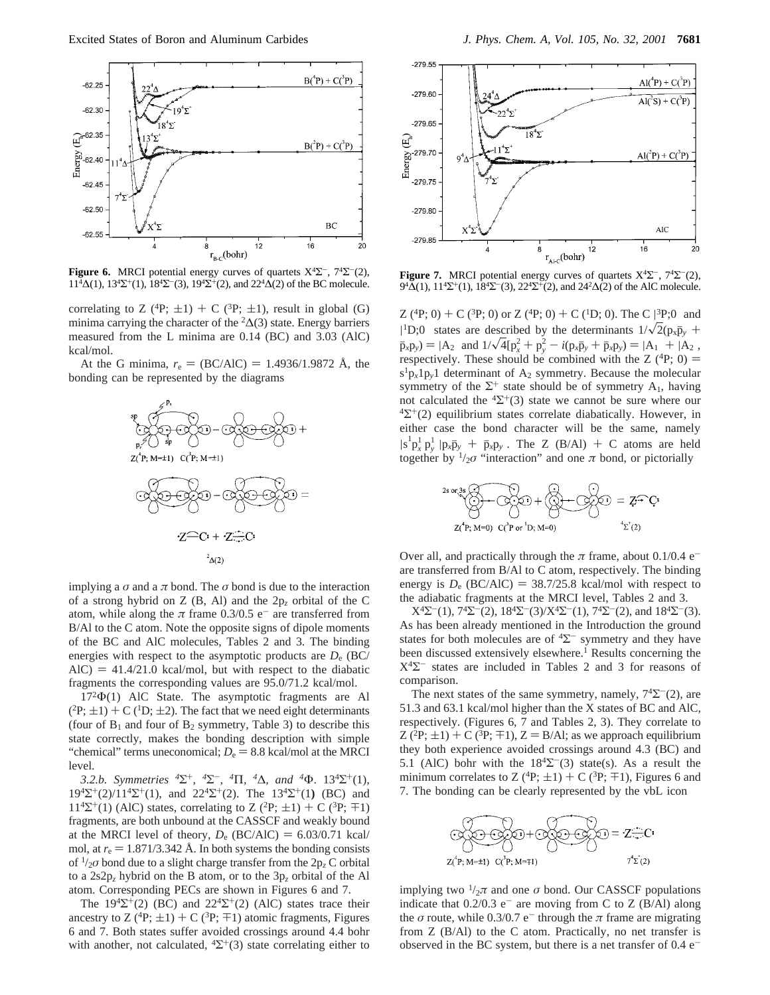

**Figure 6.** MRCI potential energy curves of quartets  $X^4\Sigma^-$ ,  $7^4\Sigma^-(2)$ ,  $11<sup>4</sup>\Delta(1)$ ,  $13<sup>4</sup>\Sigma^{+}(1)$ ,  $18<sup>4</sup>\Sigma^{-}(3)$ ,  $19<sup>4</sup>\Sigma^{+}(2)$ , and  $22<sup>4</sup>$ 

correlating to Z (<sup>4</sup>P;  $\pm$ 1) + C (<sup>3</sup>P;  $\pm$ 1), result in global (G) minima carrying the character of the  ${}^2\Delta(3)$  state. Energy barriers measured from the L minima are 0.14 (BC) and 3.03 (AlC) kcal/mol.

At the G minima,  $r_e = (BC/AlC) = 1.4936/1.9872$  Å, the bonding can be represented by the diagrams



implying a  $\sigma$  and a  $\pi$  bond. The  $\sigma$  bond is due to the interaction of a strong hybrid on Z (B, Al) and the 2p*<sup>z</sup>* orbital of the C atom, while along the  $\pi$  frame 0.3/0.5 e<sup>-</sup> are transferred from B/Al to the C atom. Note the opposite signs of dipole moments of the BC and AlC molecules, Tables 2 and 3. The binding energies with respect to the asymptotic products are *D*<sup>e</sup> (BC/  $AIC$ ) = 41.4/21.0 kcal/mol, but with respect to the diabatic fragments the corresponding values are 95.0/71.2 kcal/mol.

172Φ(1) AlC State. The asymptotic fragments are Al  $(^{2}P;\pm 1) + C(^{1}D;\pm 2)$ . The fact that we need eight determinants (four of  $B_1$  and four of  $B_2$  symmetry, Table 3) to describe this state correctly, makes the bonding description with simple "chemical" terms uneconomical;  $D_e = 8.8$  kcal/mol at the MRCI level.

*3.2.b. Symmetries <sup>4</sup>*Σ+*, <sup>4</sup>*Σ-*, <sup>4</sup>*Π*, <sup>4</sup>*∆*, and <sup>4</sup>*Φ. 134Σ+(1), 194Σ+(2)/114Σ+(1), and 224Σ+(2). The 134Σ+(1**)** (BC) and  $11^{4}\Sigma^{+}(1)$  (AlC) states, correlating to Z (<sup>2</sup>P;  $\pm$ 1) + C (<sup>3</sup>P;  $\mp$ 1) fragments, are both unbound at the CASSCF and weakly bound at the MRCI level of theory,  $D_e$  (BC/AlC) = 6.03/0.71 kcal/ mol, at  $r_e = 1.871/3.342$  Å. In both systems the bonding consists of 1/2*σ* bond due to a slight charge transfer from the 2p*<sup>z</sup>* C orbital to a 2s2p*<sup>z</sup>* hybrid on the B atom, or to the 3p*<sup>z</sup>* orbital of the Al atom. Corresponding PECs are shown in Figures 6 and 7.

The  $19^4\Sigma^+(2)$  (BC) and  $22^4\Sigma^+(2)$  (AlC) states trace their ancestry to Z ( ${}^{4}P$ ;  $\pm 1$ ) + C ( ${}^{3}P$ ;  $\pm 1$ ) atomic fragments, Figures 6 and 7. Both states suffer avoided crossings around 4.4 bohr with another, not calculated,  ${}^4\Sigma^+(3)$  state correlating either to



**Figure 7.** MRCI potential energy curves of quartets  $X^4\Sigma^-$ ,  $7^4\Sigma^-(2)$ , 9<sup>4</sup>Δ(1), 11<sup>4</sup>Σ<sup>+</sup>(1), 18<sup>4</sup>Σ<sup>-</sup>(3), 22<sup>4</sup>Σ<sup>+</sup>(2), and 24<sup>2</sup>Δ(2) of the AlC molecule.

 $Z(4P; 0) + C(3P; 0)$  or  $Z(4P; 0) + C(1D; 0)$ . The  $C(3P; 0)$  and<br> $Z(4P; 0)$  atotas are described by the determinants  $1/\sqrt{2}$  (a. 5 + <sup>1</sup>D;0) states are described by the determinants  $1/\sqrt{2}(p_x\bar{p}_y + \bar{p}_x) = 14$  and  $1/\sqrt{4} \ln^2 + p_y^2 = i(p_x\bar{p}_y + \bar{p}_x) = 14$  and  $\ln 14$  $\bar{p}_x p_y$  =  $|A_2\rangle$  and  $1/\sqrt{4} [p_x^2 + p_y^2 - i(p_x \bar{p}_y + \bar{p}_x p_y)] = |A_1\rangle + |A_2\rangle$ ,<br>respectively. These should be combined with the 7 (<sup>4</sup>P: 0) = respectively. These should be combined with the Z  $(^{4}P; 0)$  =  $s^1p_x1p_y1$  determinant of A<sub>2</sub> symmetry. Because the molecular symmetry of the  $\Sigma^+$  state should be of symmetry  $A_1$ , having not calculated the  ${}^{4}\Sigma^{+}(3)$  state we cannot be sure where our  ${}^{4}\Sigma^{+}(2)$  equilibrium states correlate diabatically. However, in either case the bond character will be the same, namely  $\frac{|s^{\perp} p_x^{\perp} p_y^{\perp}| p_x \bar{p}_y + \bar{p}_x p_y \rangle}{\frac{p_x p_y + \bar{p}_y p_y}{\log n}}$ . The Z (B/Al) + C atoms are held together by  $\frac{1}{2}\sigma$  "interaction" and one  $\pi$  bond, or pictorially

$$
^{2s \text{ or } 3s} \overbrace{\bigodot}_{Z(P; M=0)} + \overbrace{\bigodot}_{C(P \text{ or } D; M=0)} + \overbrace{\bigodot}_{Z} \overbrace{\bigodot}_{Z} = Z \widehat{\cdot} C
$$

$$
Z^{(P; M=0)} \quad C^{P} \text{ or } D; M=0
$$

Over all, and practically through the  $\pi$  frame, about 0.1/0.4 e<sup>-</sup> are transferred from B/Al to C atom, respectively. The binding energy is  $D_e$  (BC/AlC) = 38.7/25.8 kcal/mol with respect to the adiabatic fragments at the MRCI level, Tables 2 and 3.

 $X^{4}\Sigma^{-}(1)$ ,  $7^{4}\Sigma^{-}(2)$ ,  $18^{4}\Sigma^{-}(3)/X^{4}\Sigma^{-}(1)$ ,  $7^{4}\Sigma^{-}(2)$ , and  $18^{4}\Sigma^{-}(3)$ . As has been already mentioned in the Introduction the ground states for both molecules are of  ${}^{4}\Sigma^{-}$  symmetry and they have been discussed extensively elsewhere.<sup>1</sup> Results concerning the  $X<sup>4</sup>\Sigma$ <sup>-</sup> states are included in Tables 2 and 3 for reasons of comparison.

The next states of the same symmetry, namely,  $7^4\Sigma^-(2)$ , are 51.3 and 63.1 kcal/mol higher than the X states of BC and AlC, respectively. (Figures 6, 7 and Tables 2, 3). They correlate to  $Z(^{2}P;\pm 1) + C(^{3}P;\mp 1), Z = B/Al$ ; as we approach equilibrium they both experience avoided crossings around 4.3 (BC) and 5.1 (AlC) bohr with the  $18<sup>4</sup>\Sigma$ <sup>-</sup>(3) state(s). As a result the minimum correlates to Z (<sup>4</sup>P;  $\pm$ 1) + C (<sup>3</sup>P;  $\mp$ 1), Figures 6 and 7. The bonding can be clearly represented by the vbL icon



implying two  $\frac{1}{2}\pi$  and one  $\sigma$  bond. Our CASSCF populations indicate that  $0.2/0.3$  e<sup>-</sup> are moving from C to Z (B/Al) along the  $\sigma$  route, while 0.3/0.7 e<sup>-</sup> through the  $\pi$  frame are migrating from Z (B/Al) to the C atom. Practically, no net transfer is observed in the BC system, but there is a net transfer of  $0.4 e^-$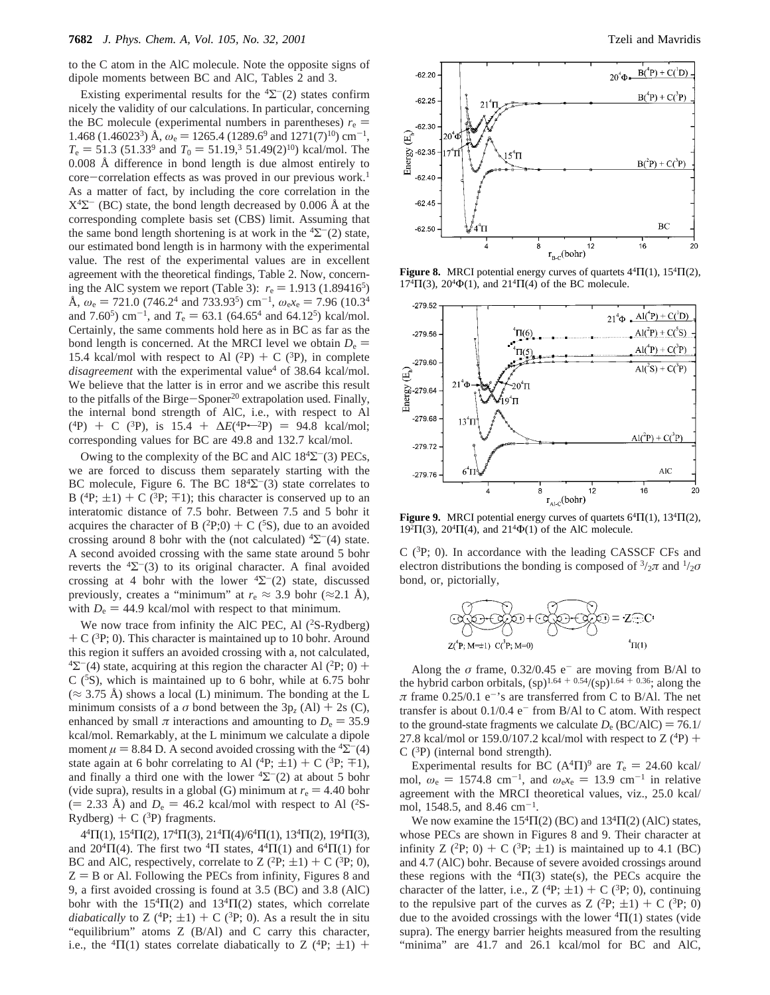to the C atom in the AlC molecule. Note the opposite signs of dipole moments between BC and AlC, Tables 2 and 3.

Existing experimental results for the  ${}^{4}\Sigma^{-}(2)$  states confirm nicely the validity of our calculations. In particular, concerning the BC molecule (experimental numbers in parentheses)  $r_e$  = 1.468 (1.46023<sup>3</sup>) Å,  $\omega_e$  = 1265.4 (1289.6<sup>9</sup> and 1271(7)<sup>10</sup>) cm<sup>-1</sup>,  $T_e = 51.3$  (51.33<sup>9</sup> and  $T_0 = 51.19$ ,<sup>3</sup> 51.49(2)<sup>10</sup>) kcal/mol. The 0.008 Å difference in bond length is due almost entirely to core-correlation effects as was proved in our previous work.<sup>1</sup> As a matter of fact, by including the core correlation in the  $X^4\Sigma^-$  (BC) state, the bond length decreased by 0.006 Å at the corresponding complete basis set (CBS) limit. Assuming that the same bond length shortening is at work in the  ${}^{4}\Sigma^{-}(2)$  state, our estimated bond length is in harmony with the experimental value. The rest of the experimental values are in excellent agreement with the theoretical findings, Table 2. Now, concerning the AlC system we report (Table 3):  $r_e = 1.913 \ (1.89416^5)$ Å,  $\omega_e$  = 721.0 (746.2<sup>4</sup> and 733.93<sup>5</sup>) cm<sup>-1</sup>,  $\omega_e$ <sub>x</sub><sup>e</sup> = 7.96 (10.3<sup>4</sup>) and 7.60<sup>5</sup>) cm<sup>-1</sup>, and  $T_e = 63.1$  (64.65<sup>4</sup> and 64.12<sup>5</sup>) kcal/mol. Certainly, the same comments hold here as in BC as far as the bond length is concerned. At the MRCI level we obtain  $D_e$  = 15.4 kcal/mol with respect to Al  $(^{2}P)$  + C  $(^{3}P)$ , in complete *disagreement* with the experimental value<sup>4</sup> of 38.64 kcal/mol. We believe that the latter is in error and we ascribe this result to the pitfalls of the Birge-Sponer<sup>20</sup> extrapolation used. Finally, the internal bond strength of AlC, i.e., with respect to Al  $(^{4}P)$  + C (<sup>3</sup>P), is 15.4 +  $\Delta E(^{4}P \leftarrow ^{2}P)$  = 94.8 kcal/mol; corresponding values for BC are 49.8 and 132.7 kcal/mol.

Owing to the complexity of the BC and AlC  $18^4\Sigma$ <sup>-</sup>(3) PECs, we are forced to discuss them separately starting with the BC molecule, Figure 6. The BC  $18<sup>4</sup>\Sigma$ <sup>-</sup>(3) state correlates to B (<sup>4</sup>P;  $\pm$ 1) + C (<sup>3</sup>P;  $\mp$ 1); this character is conserved up to an interatomic distance of 7.5 bohr. Between 7.5 and 5 bohr it acquires the character of B  $(^{2}P;0) + C(^{5}S)$ , due to an avoided crossing around 8 bohr with the (not calculated)  ${}^4\Sigma^-$ (4) state. A second avoided crossing with the same state around 5 bohr reverts the  ${}^{4}\Sigma^{-}(3)$  to its original character. A final avoided crossing at 4 bohr with the lower  ${}^{4}\Sigma^{-}(2)$  state, discussed previously, creates a "minimum" at  $r_e \approx 3.9$  bohr ( $\approx 2.1$  Å), with  $D_e = 44.9$  kcal/mol with respect to that minimum.

We now trace from infinity the AlC PEC, Al  $(^{2}S-Rydberg)$  $+ C$  (<sup>3</sup>P; 0). This character is maintained up to 10 bohr. Around this region it suffers an avoided crossing with a, not calculated,  $\frac{4}{2}$ (4) state, acquiring at this region the character Al (<sup>2</sup>P; 0) + C  $(^5S)$ , which is maintained up to 6 bohr, while at 6.75 bohr  $(\approx 3.75 \text{ Å})$  shows a local (L) minimum. The bonding at the L minimum consists of a  $\sigma$  bond between the 3p<sub>z</sub> (Al) + 2s (C), enhanced by small  $\pi$  interactions and amounting to  $D_e = 35.9$ kcal/mol. Remarkably, at the L minimum we calculate a dipole moment  $\mu = 8.84$  D. A second avoided crossing with the <sup>4</sup> $\Sigma$ <sup>-</sup>(4) state again at 6 bohr correlating to Al  $(^{4}P; \pm 1) + C$   $(^{3}P; \mp 1)$ , and finally a third one with the lower  ${}^{4}\Sigma^{-}(2)$  at about 5 bohr (vide supra), results in a global (G) minimum at  $r_e = 4.40$  bohr  $(= 2.33 \text{ Å})$  and  $D_e = 46.2 \text{ kcal/mol}$  with respect to Al (<sup>2</sup>S-Rydberg) + C ( ${}^{3}P$ ) fragments.

 $4<sup>4</sup>\Pi(1), 15<sup>4</sup>\Pi(2), 17<sup>4</sup>\Pi(3), 21<sup>4</sup>\Pi(4)/6<sup>4</sup>\Pi(1), 13<sup>4</sup>\Pi(2), 19<sup>4</sup>\Pi(3),$ and  $20^{4} \Pi(4)$ . The first two  $^{4} \Pi$  states,  $4^{4} \Pi(1)$  and  $6^{4} \Pi(1)$  for BC and AlC, respectively, correlate to Z  $(^{2}P; \pm 1) + C$   $(^{3}P; 0)$ ,  $Z = B$  or Al. Following the PECs from infinity, Figures 8 and 9, a first avoided crossing is found at 3.5 (BC) and 3.8 (AlC) bohr with the  $15<sup>4</sup>Π(2)$  and  $13<sup>4</sup>Π(2)$  states, which correlate *diabatically* to Z (<sup>4</sup>P;  $\pm$ 1) + C (<sup>3</sup>P; 0). As a result the in situ "equilibrium" atoms Z (B/Al) and C carry this character, i.e., the <sup>4</sup>Π(1) states correlate diabatically to Z (<sup>4</sup>P;  $\pm$ 1) +



**Figure 8.** MRCI potential energy curves of quartets  $4<sup>4</sup>\Pi(1)$ ,  $15<sup>4</sup>\Pi(2)$ ,  $17^{4} \Pi(3)$ ,  $20^{4} \Phi(1)$ , and  $21^{4} \Pi(4)$  of the BC molecule.



**Figure 9.** MRCI potential energy curves of quartets  $6<sup>4</sup> \Pi(1)$ ,  $13<sup>4</sup> \Pi(2)$ , 19<sup>2</sup>Π(3), 20<sup>4</sup>Π(4), and 21<sup>4</sup>Φ(1) of the AlC molecule.

 $C$  (<sup>3</sup>P; 0). In accordance with the leading CASSCF CFs and electron distributions the bonding is composed of  $\frac{3}{2}\pi$  and  $\frac{1}{2}\sigma$ bond, or, pictorially,



Along the  $\sigma$  frame, 0.32/0.45 e<sup>-</sup> are moving from B/Al to the hybrid carbon orbitals,  $(sp)^{1.64 + 0.54}/(sp)^{1.64 + 0.36}$ ; along the  $\pi$  frame 0.25/0.1 e<sup>-</sup>'s are transferred from C to B/Al. The net transfer is about  $0.1/0.4$  e<sup>-</sup> from B/Al to C atom. With respect to the ground-state fragments we calculate  $D_e$  (BC/AlC) = 76.1/ 27.8 kcal/mol or 159.0/107.2 kcal/mol with respect to  $Z(^{4}P)$  +  $C(^{3}P)$  (internal bond strength).

Experimental results for BC  $(A<sup>4</sup>\Pi)<sup>9</sup>$  are  $T<sub>e</sub> = 24.60$  kcal/ mol,  $\omega_e = 1574.8 \text{ cm}^{-1}$ , and  $\omega_e x_e = 13.9 \text{ cm}^{-1}$  in relative agreement with the MRCI theoretical values, viz., 25.0 kcal/ mol, 1548.5, and 8.46 cm-1.

We now examine the  $15<sup>4</sup>\Pi(2)$  (BC) and  $13<sup>4</sup>\Pi(2)$  (AlC) states, whose PECs are shown in Figures 8 and 9. Their character at infinity Z (<sup>2</sup>P; 0) + C (<sup>3</sup>P;  $\pm$ 1) is maintained up to 4.1 (BC) and 4.7 (AlC) bohr. Because of severe avoided crossings around these regions with the  ${}^{4}\Pi(3)$  state(s), the PECs acquire the character of the latter, i.e., Z ( ${}^{4}P$ ;  $\pm 1$ ) + C ( ${}^{3}P$ ; 0), continuing to the repulsive part of the curves as  $Z(^{2}P; \pm 1) + C(^{3}P; 0)$ due to the avoided crossings with the lower  ${}^{4}\Pi(1)$  states (vide supra). The energy barrier heights measured from the resulting "minima" are 41.7 and 26.1 kcal/mol for BC and AlC,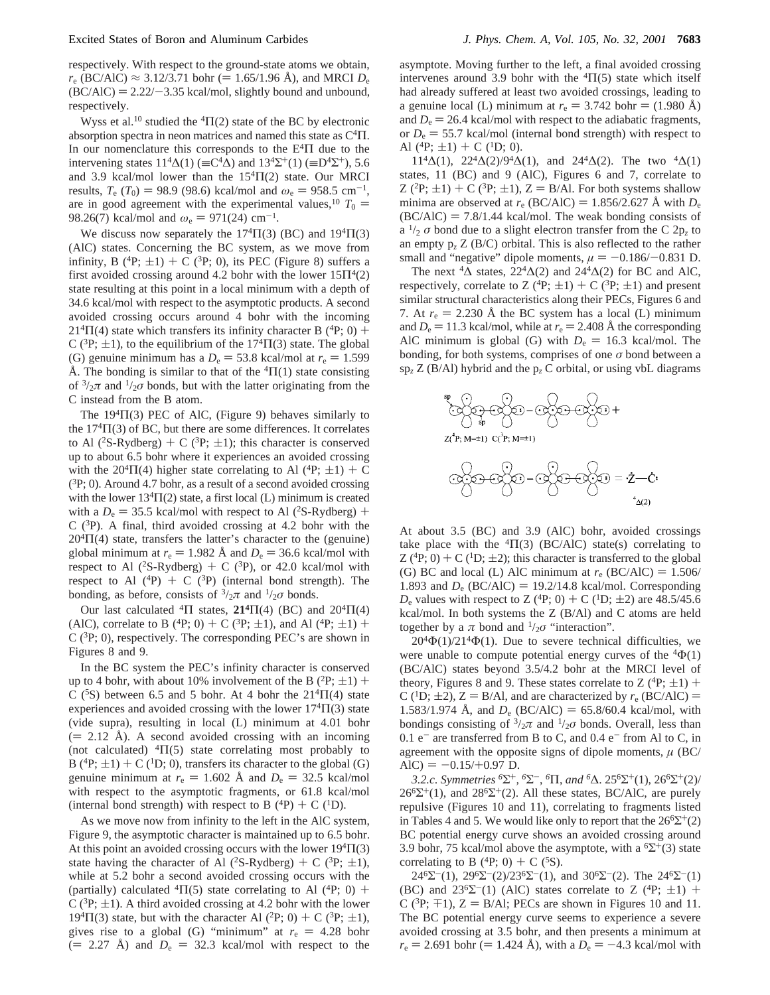respectively. With respect to the ground-state atoms we obtain, *r*<sub>e</sub> (BC/AlC) ≈ 3.12/3.71 bohr (= 1.65/1.96 Å), and MRCI  $D_e$  $(BC/AC) = 2.22/-3.35$  kcal/mol, slightly bound and unbound, respectively.

Wyss et al.<sup>10</sup> studied the <sup>4</sup> $\Pi$ (2) state of the BC by electronic absorption spectra in neon matrices and named this state as  $C<sup>4</sup>$ I. In our nomenclature this corresponds to the  $E<sup>4</sup>$ I due to the intervening states  $11^4\Delta(1)$  (=C<sup>4</sup> $\Delta$ ) and  $13^4\Sigma^+(1)$  (=D<sup>4</sup> $\Sigma^+$ ), 5.6 and 3.9 kcal/mol lower than the  $15<sup>4</sup>\Pi(2)$  state. Our MRCI results,  $T_e$  ( $T_0$ ) = 98.9 (98.6) kcal/mol and  $\omega_e$  = 958.5 cm<sup>-1</sup>, are in good agreement with the experimental values,<sup>10</sup>  $T_0$  = 98.26(7) kcal/mol and  $\omega_e = 971(24) \text{ cm}^{-1}$ .

We discuss now separately the  $17<sup>4</sup>\Pi(3)$  (BC) and  $19<sup>4</sup>\Pi(3)$ (AlC) states. Concerning the BC system, as we move from infinity, B ( ${}^{4}P$ ;  $\pm 1$ ) + C ( ${}^{3}P$ ; 0), its PEC (Figure 8) suffers a first avoided crossing around 4.2 bohr with the lower  $15\Pi^4(2)$ state resulting at this point in a local minimum with a depth of 34.6 kcal/mol with respect to the asymptotic products. A second avoided crossing occurs around 4 bohr with the incoming  $21<sup>4</sup>\Pi(4)$  state which transfers its infinity character B (<sup>4</sup>P; 0) + C ( ${}^{3}P$ ;  $\pm$ 1), to the equilibrium of the 17<sup>4</sup> $\Pi$ (3) state. The global (G) genuine minimum has a  $D_e = 53.8$  kcal/mol at  $r_e = 1.599$ Å. The bonding is similar to that of the  ${}^{4}\Pi(1)$  state consisting of  $\frac{3}{2}\pi$  and  $\frac{1}{2}\sigma$  bonds, but with the latter originating from the C instead from the B atom.

The  $19<sup>4</sup>\Pi(3)$  PEC of AlC, (Figure 9) behaves similarly to the  $17<sup>4</sup>\Pi(3)$  of BC, but there are some differences. It correlates to Al (<sup>2</sup>S-Rydberg) + C (<sup>3</sup>P;  $\pm$ 1); this character is conserved up to about 6.5 bohr where it experiences an avoided crossing with the 20<sup>4</sup> $\Pi$ (4) higher state correlating to Al (<sup>4</sup>P;  $\pm$ 1) + C  $({}^{3}P; 0)$ . Around 4.7 bohr, as a result of a second avoided crossing with the lower  $13<sup>4</sup>\Pi(2)$  state, a first local (L) minimum is created with a  $D_e = 35.5$  kcal/mol with respect to Al (<sup>2</sup>S-Rydberg) + C  $(^{3}P)$ . A final, third avoided crossing at 4.2 bohr with the  $20<sup>4</sup>\Pi(4)$  state, transfers the latter's character to the (genuine) global minimum at  $r_e = 1.982$  Å and  $D_e = 36.6$  kcal/mol with respect to Al (<sup>2</sup>S-Rydberg) + C (<sup>3</sup>P), or 42.0 kcal/mol with respect to Al  $(^{4}P)$  + C  $(^{3}P)$  (internal bond strength). The bonding, as before, consists of  $\frac{3}{2}\pi$  and  $\frac{1}{2}\sigma$  bonds.

Our last calculated <sup>4</sup>Π states, **21<sup>4</sup>Π(4)** (BC) and  $20^4\Pi(4)$ (AlC), correlate to B (<sup>4</sup>P; 0) + C (<sup>3</sup>P;  $\pm$ 1), and Al (<sup>4</sup>P;  $\pm$ 1) +  $C$  ( ${}^{3}P$ ; 0), respectively. The corresponding PEC's are shown in Figures 8 and 9.

In the BC system the PEC's infinity character is conserved up to 4 bohr, with about 10% involvement of the B  $(^{2}P;\pm 1)$  + C (<sup>5</sup>S) between 6.5 and 5 bohr. At 4 bohr the  $21<sup>4</sup>\Pi(4)$  state experiences and avoided crossing with the lower  $17<sup>4</sup>\Pi(3)$  state (vide supra), resulting in local (L) minimum at 4.01 bohr  $(= 2.12 \text{ Å})$ . A second avoided crossing with an incoming (not calculated)  ${}^{4}\Pi(5)$  state correlating most probably to B (<sup>4</sup>P;  $\pm$ 1) + C (<sup>1</sup>D; 0), transfers its character to the global (G) genuine minimum at  $r_e = 1.602$  Å and  $D_e = 32.5$  kcal/mol with respect to the asymptotic fragments, or 61.8 kcal/mol (internal bond strength) with respect to B  $(^{4}P) + C(^{1}D)$ .

As we move now from infinity to the left in the AlC system, Figure 9, the asymptotic character is maintained up to 6.5 bohr. At this point an avoided crossing occurs with the lower  $19<sup>4</sup>\Pi(3)$ state having the character of Al (<sup>2</sup>S-Rydberg) + C (<sup>3</sup>P;  $\pm$ 1), while at 5.2 bohr a second avoided crossing occurs with the (partially) calculated  ${}^{4}\Pi(5)$  state correlating to Al ( ${}^{4}P; 0$ ) + C ( ${}^{3}P$ ;  $\pm$ 1). A third avoided crossing at 4.2 bohr with the lower  $19<sup>4</sup>\Pi(3)$  state, but with the character Al (<sup>2</sup>P; 0) + C (<sup>3</sup>P;  $\pm$ 1), gives rise to a global (G) "minimum" at  $r_e = 4.28$  bohr  $(= 2.27 \text{ Å})$  and  $D_e = 32.3 \text{ kcal/mol}$  with respect to the

asymptote. Moving further to the left, a final avoided crossing intervenes around 3.9 bohr with the  ${}^{4}\Pi(5)$  state which itself had already suffered at least two avoided crossings, leading to a genuine local (L) minimum at  $r_e = 3.742$  bohr  $= (1.980 \text{ Å})$ and  $D_e = 26.4$  kcal/mol with respect to the adiabatic fragments, or  $D_e = 55.7$  kcal/mol (internal bond strength) with respect to Al  $(^{4}P; \pm 1) + C$   $(^{1}D; 0)$ .

 $11^{4}\Delta(1)$ ,  $22^{4}\Delta(2)/9^{4}\Delta(1)$ , and  $24^{4}\Delta(2)$ . The two  $^{4}\Delta(1)$ states, 11 (BC) and 9 (AlC), Figures 6 and 7, correlate to  $Z(^{2}P;\pm 1) + C(^{3}P;\pm 1), Z = B/AI$ . For both systems shallow minima are observed at  $r_e$  (BC/AlC) = 1.856/2.627 Å with  $D_e$  $(BC/AIC) = 7.8/1.44$  kcal/mol. The weak bonding consists of a  $\frac{1}{2}$  *σ* bond due to a slight electron transfer from the C 2p<sub>z</sub> to an empty  $p_z Z (B/C)$  orbital. This is also reflected to the rather small and "negative" dipole moments,  $\mu = -0.186/-0.831$  D.

The next  ${}^4\Delta$  states, 22 ${}^4\Delta(2)$  and 24 ${}^4\Delta(2)$  for BC and AlC, respectively, correlate to Z (<sup>4</sup>P;  $\pm$ 1) + C (<sup>3</sup>P;  $\pm$ 1) and present similar structural characteristics along their PECs, Figures 6 and 7. At  $r_e = 2.230$  Å the BC system has a local (L) minimum and  $D_e = 11.3$  kcal/mol, while at  $r_e = 2.408$  Å the corresponding AlC minimum is global (G) with  $D_e = 16.3$  kcal/mol. The bonding, for both systems, comprises of one  $\sigma$  bond between a  $\text{sp}_z \, Z \, (\text{B/AI})$  hybrid and the  $\text{p}_z \, C$  orbital, or using vbL diagrams



At about 3.5 (BC) and 3.9 (AlC) bohr, avoided crossings take place with the  ${}^{4}\Pi(3)$  (BC/AlC) state(s) correlating to Z ( ${}^{4}P$ ; 0) + C ( ${}^{1}D$ ;  $\pm$ 2); this character is transferred to the global (G) BC and local (L) AlC minimum at  $r_e$  (BC/AlC) = 1.506/ 1.893 and  $D_e$  (BC/AlC) = 19.2/14.8 kcal/mol. Corresponding  $D_e$  values with respect to Z (<sup>4</sup>P; 0) + C (<sup>1</sup>D;  $\pm$ 2) are 48.5/45.6 kcal/mol. In both systems the Z (B/Al) and C atoms are held together by a  $\pi$  bond and  $\frac{1}{2}\sigma$  "interaction".

 $20^4\Phi(1)/21^4\Phi(1)$ . Due to severe technical difficulties, we were unable to compute potential energy curves of the  ${}^{4}\Phi(1)$ (BC/AlC) states beyond 3.5/4.2 bohr at the MRCI level of theory, Figures 8 and 9. These states correlate to Z  $(^{4}P;\pm 1)$  + C (<sup>1</sup>D;  $\pm$ 2), Z = B/Al, and are characterized by  $r_e$  (BC/AlC) = 1.583/1.974 Å, and  $D_e$  (BC/AlC) = 65.8/60.4 kcal/mol, with bondings consisting of  $\frac{3}{2}\pi$  and  $\frac{1}{2}\sigma$  bonds. Overall, less than 0.1  $e^-$  are transferred from B to C, and 0.4  $e^-$  from Al to C, in agreement with the opposite signs of dipole moments,  $\mu$  (BC/  $AIC$ ) = -0.15/+0.97 D.

*3.2.c*. *Symmetries <sup>6</sup>*Σ+*, <sup>6</sup>*Σ-, *<sup>6</sup>*Π, *and <sup>6</sup>*∆. 256Σ+(1), 266Σ+(2)/  $26^{\circ} \Sigma^{+}(1)$ , and  $28^{\circ} \Sigma^{+}(2)$ . All these states, BC/AlC, are purely repulsive (Figures 10 and 11), correlating to fragments listed in Tables 4 and 5. We would like only to report that the  $26^6\Sigma^+(2)$ BC potential energy curve shows an avoided crossing around 3.9 bohr, 75 kcal/mol above the asymptote, with a  ${}^{6}\Sigma^{+}(3)$  state correlating to B (<sup>4</sup>P; 0) + C (<sup>5</sup>S).

24<sup>6</sup> $\Sigma^{-}(1)$ , 29<sup>6</sup> $\Sigma^{-}(2)/23^{6}\Sigma^{-}(1)$ , and 30<sup>6</sup> $\Sigma^{-}(2)$ . The 24<sup>6</sup> $\Sigma^{-}(1)$ (BC) and  $23^{6}\Sigma^{-}(1)$  (AlC) states correlate to Z (<sup>4</sup>P;  $\pm$ 1) + C ( ${}^{3}P$ ;  $\mp$ 1), Z = B/Al; PECs are shown in Figures 10 and 11. The BC potential energy curve seems to experience a severe avoided crossing at 3.5 bohr, and then presents a minimum at  $r_e = 2.691$  bohr (= 1.424 Å), with a  $D_e = -4.3$  kcal/mol with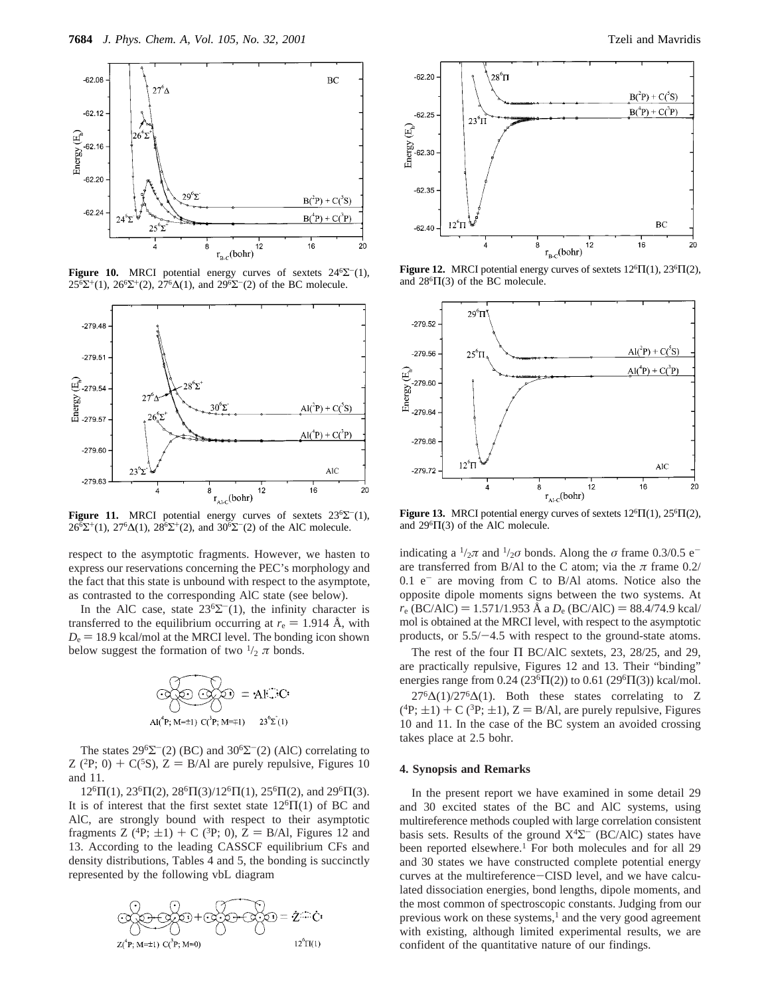

**Figure 10.** MRCI potential energy curves of sextets  $24^6\Sigma^{-}(1)$ ,  $25^{6} \Sigma^{+}(1)$ ,  $26^{6} \Sigma^{+}(2)$ ,  $27^{6} \Delta(1)$ , and  $29^{6} \Sigma^{-}(2)$  of the BC molecule.



**Figure 11.** MRCI potential energy curves of sextets  $23^6\Sigma^{-1}$ .  $26^{6}\Sigma^{+}(1)$ ,  $27^{6}\Delta(1)$ ,  $28^{6}\Sigma^{+}(2)$ , and  $30^{6}\Sigma^{-}(2)$  of the AlC molecule.

respect to the asymptotic fragments. However, we hasten to express our reservations concerning the PEC's morphology and the fact that this state is unbound with respect to the asymptote, as contrasted to the corresponding AlC state (see below).

In the AlC case, state  $23^{6}\Sigma^{-}(1)$ , the infinity character is transferred to the equilibrium occurring at  $r_e = 1.914$  Å, with  $D_e$  = 18.9 kcal/mol at the MRCI level. The bonding icon shown below suggest the formation of two  $\frac{1}{2} \pi$  bonds.



The states  $29^6\Sigma^-(2)$  (BC) and  $30^6\Sigma^-(2)$  (AlC) correlating to Z (<sup>2</sup>P; 0) + C(<sup>5</sup>S), Z = B/Al are purely repulsive, Figures 10 and 11.

 $12^{6} \Pi(1)$ ,  $23^{6} \Pi(2)$ ,  $28^{6} \Pi(3)/12^{6} \Pi(1)$ ,  $25^{6} \Pi(2)$ , and  $29^{6} \Pi(3)$ . It is of interest that the first sextet state  $12^{6} \Pi(1)$  of BC and AlC, are strongly bound with respect to their asymptotic fragments Z (<sup>4</sup>P;  $\pm$ 1) + C (<sup>3</sup>P; 0), Z = B/Al, Figures 12 and 13. According to the leading CASSCF equilibrium CFs and density distributions, Tables 4 and 5, the bonding is succinctly represented by the following vbL diagram







Figure 12. MRCI potential energy curves of sextets  $12^{6} \Pi(1)$ ,  $23^{6} \Pi(2)$ , and  $28^{6}$  $\Pi(3)$  of the BC molecule.



Figure 13. MRCI potential energy curves of sextets  $12^{6} \Pi(1)$ ,  $25^{6} \Pi(2)$ , and  $29^{6} \Pi(3)$  of the AlC molecule.

indicating a  $\frac{1}{2}\pi$  and  $\frac{1}{2}\sigma$  bonds. Along the  $\sigma$  frame 0.3/0.5 e<sup>-</sup> are transferred from B/Al to the C atom; via the  $\pi$  frame 0.2/  $0.1$  e<sup>-</sup> are moving from C to B/Al atoms. Notice also the opposite dipole moments signs between the two systems. At  $r_e$  (BC/AlC) = 1.571/1.953 Å a  $D_e$  (BC/AlC) = 88.4/74.9 kcal/ mol is obtained at the MRCI level, with respect to the asymptotic products, or  $5.5/-4.5$  with respect to the ground-state atoms.

The rest of the four  $\Pi$  BC/AlC sextets, 23, 28/25, and 29, are practically repulsive, Figures 12 and 13. Their "binding" energies range from 0.24 (23<sup>6</sup> $\Pi$ (2)) to 0.61 (29<sup>6</sup> $\Pi$ (3)) kcal/mol.  $27^{6}\Delta(1)/27^{6}\Delta(1)$ . Both these states correlating to Z  $({}^{4}P;\pm 1)$  + C  $({}^{3}P;\pm 1)$ , Z = B/Al, are purely repulsive, Figures 10 and 11. In the case of the BC system an avoided crossing takes place at 2.5 bohr.

#### **4. Synopsis and Remarks**

In the present report we have examined in some detail 29 and 30 excited states of the BC and AlC systems, using multireference methods coupled with large correlation consistent basis sets. Results of the ground  $X<sup>4</sup>\Sigma^-$  (BC/AlC) states have been reported elsewhere.<sup>1</sup> For both molecules and for all 29 and 30 states we have constructed complete potential energy curves at the multireference-CISD level, and we have calculated dissociation energies, bond lengths, dipole moments, and the most common of spectroscopic constants. Judging from our previous work on these systems, $<sup>1</sup>$  and the very good agreement</sup> with existing, although limited experimental results, we are confident of the quantitative nature of our findings.